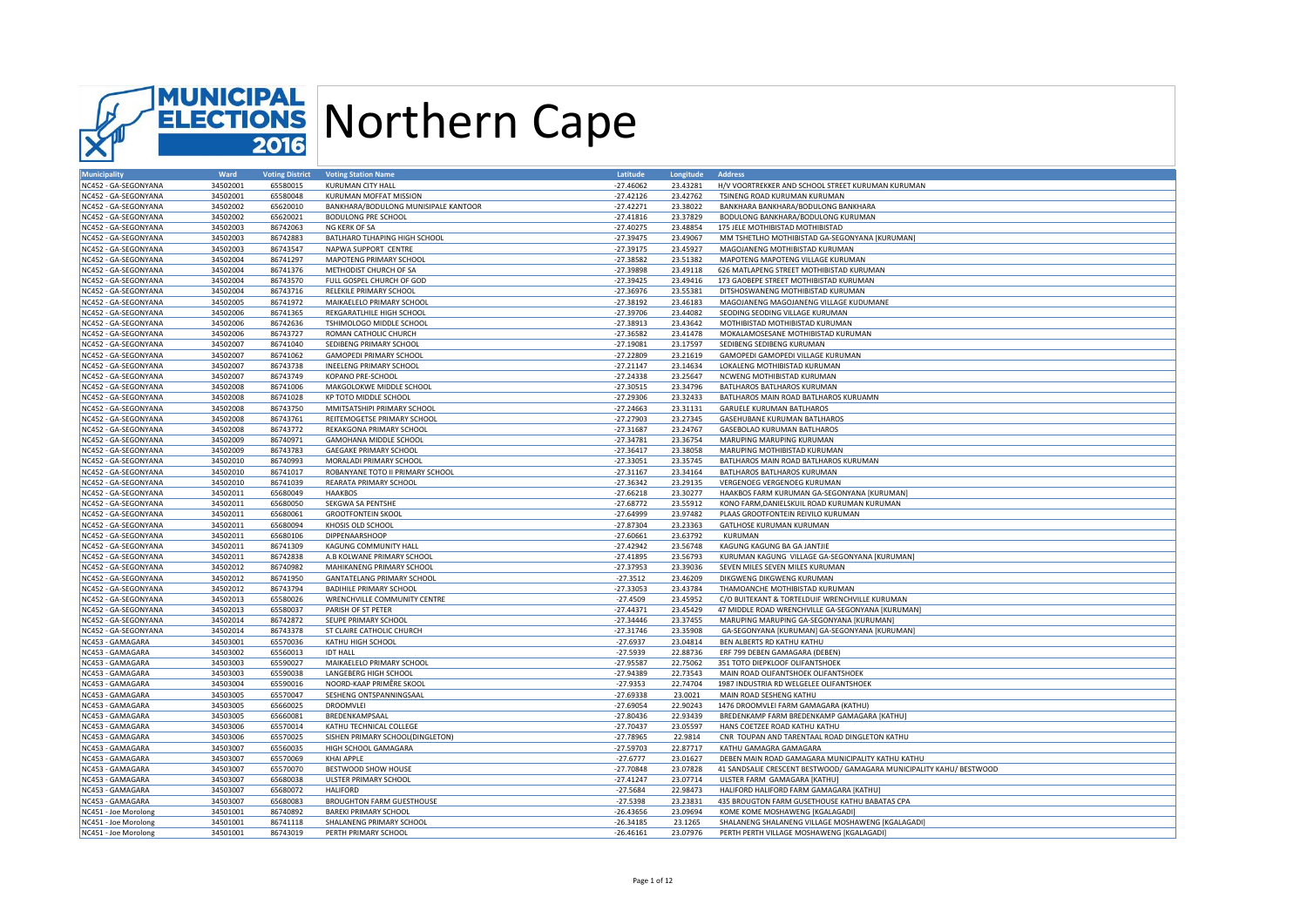

| Municipality                         | Ward     | <b>Voting District</b> | <b>Voting Station Name</b>                               | Latitude    | Longitude | <b>Address</b>                                                       |
|--------------------------------------|----------|------------------------|----------------------------------------------------------|-------------|-----------|----------------------------------------------------------------------|
| NC452 - GA-SEGONYANA                 | 34502001 | 65580015               | <b>KURUMAN CITY HALL</b>                                 | $-27.46062$ | 23.43281  | H/V VOORTREKKER AND SCHOOL STREET KURUMAN KURUMAN                    |
| NC452 - GA-SEGONYANA                 | 34502001 | 65580048               | KURUMAN MOFFAT MISSION                                   | $-27.42126$ | 23.42762  | TSINENG ROAD KURUMAN KURUMAN                                         |
| NC452 - GA-SEGONYANA                 | 34502002 | 65620010               | BANKHARA/BODULONG MUNISIPALE KANTOOR                     | $-27.42271$ | 23.38022  | BANKHARA BANKHARA/BODULONG BANKHARA                                  |
| NC452 - GA-SEGONYANA                 | 34502002 | 65620021               | <b>BODULONG PRE SCHOOL</b>                               | $-27.41816$ | 23.37829  | BODULONG BANKHARA/BODULONG KURUMAN                                   |
| NC452 - GA-SEGONYANA                 | 34502003 | 86742063               | NG KERK OF SA                                            | $-27.40275$ | 23.48854  | 175 JELE MOTHIBISTAD MOTHIBISTAD                                     |
| NC452 - GA-SEGONYANA                 | 34502003 | 86742883               | BATLHARO TLHAPING HIGH SCHOOL                            | $-27.39475$ | 23.49067  | MM TSHETLHO MOTHIBISTAD GA-SEGONYANA [KURUMAN]                       |
| NC452 - GA-SEGONYANA                 | 34502003 | 86743547               | NAPWA SUPPORT CENTRE                                     | $-27.39175$ | 23.45927  | MAGOJANENG MOTHIBISTAD KURUMAN                                       |
| NC452 - GA-SEGONYANA                 | 34502004 | 86741297               | MAPOTENG PRIMARY SCHOOL                                  | $-27.38582$ | 23.51382  | MAPOTENG MAPOTENG VILLAGE KURUMAN                                    |
| NC452 - GA-SEGONYANA                 | 34502004 | 86741376               | METHODIST CHURCH OF SA                                   | $-27.39898$ | 23.49118  | 626 MATLAPENG STREET MOTHIBISTAD KURUMAN                             |
| NC452 - GA-SEGONYANA                 | 34502004 | 86743570               | FULL GOSPEL CHURCH OF GOD                                | $-27.39425$ | 23.49416  | 173 GAOBEPE STREET MOTHIBISTAD KURUMAN                               |
| NC452 - GA-SEGONYANA                 | 34502004 | 86743716               | RELEKILE PRIMARY SCHOOL                                  | $-27.36976$ | 23.55381  | DITSHOSWANENG MOTHIBISTAD KURUMAN                                    |
| NC452 - GA-SEGONYANA                 | 34502005 | 86741972               | MAIKAELELO PRIMARY SCHOOL                                | $-27.38192$ | 23.46183  | MAGOJANENG MAGOJANENG VILLAGE KUDUMANE                               |
| NC452 - GA-SEGONYANA                 | 34502006 | 86741365               | REKGARATLHILE HIGH SCHOOL                                | $-27.39706$ | 23.44082  | SEODING SEODING VILLAGE KURUMAN                                      |
| NC452 - GA-SEGONYANA                 | 34502006 | 86742636               | TSHIMOLOGO MIDDLE SCHOOL                                 | $-27.38913$ | 23.43642  | MOTHIBISTAD MOTHIBISTAD KURUMAN                                      |
| NC452 - GA-SEGONYANA                 | 34502006 | 86743727               | ROMAN CATHOLIC CHURCH                                    | $-27.36582$ | 23.41478  | MOKALAMOSESANE MOTHIBISTAD KURUMAN                                   |
| NC452 - GA-SEGONYANA                 | 34502007 | 86741040               | SEDIBENG PRIMARY SCHOOL                                  | $-27.19081$ | 23.17597  | SEDIBENG SEDIBENG KURUMAN                                            |
| NC452 - GA-SEGONYANA                 | 34502007 | 86741062               | <b>GAMOPEDI PRIMARY SCHOOL</b>                           | $-27.22809$ | 23.21619  | GAMOPEDI GAMOPEDI VILLAGE KURUMAN                                    |
| NC452 - GA-SEGONYANA                 | 34502007 | 86743738               | <b>INEELENG PRIMARY SCHOOL</b>                           | $-27.21147$ | 23.14634  | LOKALENG MOTHIBISTAD KURUMAN                                         |
| NC452 - GA-SEGONYANA                 | 34502007 | 86743749               | KOPANO PRE-SCHOOL                                        | $-27.24338$ | 23.25647  | NCWENG MOTHIBISTAD KURUMAN                                           |
| NC452 - GA-SEGONYANA                 | 34502008 | 86741006               | MAKGOLOKWE MIDDLE SCHOOL                                 | $-27.30515$ | 23.34796  | BATLHAROS BATLHAROS KURUMAN                                          |
| NC452 - GA-SEGONYANA                 | 34502008 | 86741028               | KP TOTO MIDDLE SCHOOL                                    | $-27.29306$ | 23.32433  | BATLHAROS MAIN ROAD BATLHAROS KURUAMN                                |
| NC452 - GA-SEGONYANA                 | 34502008 | 86743750               | MMITSATSHIPI PRIMARY SCHOOL                              | $-27.24663$ | 23.31131  | <b>GARUELE KURUMAN BATLHAROS</b>                                     |
| NC452 - GA-SEGONYANA                 | 34502008 | 86743761               | REITEMOGETSE PRIMARY SCHOOL                              | $-27.27903$ | 23.27345  | GASEHUBANE KURUMAN BATLHAROS                                         |
| NC452 - GA-SEGONYANA                 | 34502008 | 86743772               | REKAKGONA PRIMARY SCHOOL                                 | $-27.31687$ | 23.24767  | GASEBOLAO KURUMAN BATLHAROS                                          |
| NC452 - GA-SEGONYANA                 | 34502009 | 86740971               | GAMOHANA MIDDLE SCHOOL                                   | $-27.34781$ | 23.36754  | MARUPING MARUPING KURUMAN                                            |
| NC452 - GA-SEGONYANA                 | 34502009 | 86743783               | <b>GAEGAKE PRIMARY SCHOOL</b>                            | $-27.36417$ | 23.38058  | MARUPING MOTHIBISTAD KURUMAN                                         |
| NC452 - GA-SEGONYANA                 | 34502010 | 86740993               | MORALADI PRIMARY SCHOOL                                  | $-27.33051$ | 23.35745  | BATLHAROS MAIN ROAD BATLHAROS KURUMAN                                |
| NC452 - GA-SEGONYANA                 | 34502010 | 86741017               | ROBANYANE TOTO II PRIMARY SCHOOL                         | $-27.31167$ | 23.34164  | BATLHAROS BATLHAROS KURUMAN                                          |
| NC452 - GA-SEGONYANA                 | 34502010 | 86741039               | REARATA PRIMARY SCHOOL                                   | $-27.36342$ | 23.29135  | VERGENOEG VERGENOEG KURUMAN                                          |
| NC452 - GA-SEGONYANA                 | 34502011 | 65680049               | <b>HAAKBOS</b>                                           | $-27.66218$ | 23.30277  | HAAKBOS FARM KURUMAN GA-SEGONYANA [KURUMAN]                          |
| NC452 - GA-SEGONYANA                 | 34502011 | 65680050               | SEKGWA SA PENTSHE                                        | $-27.68772$ | 23.55912  | KONO FARM, DANIELSKUIL ROAD KURUMAN KURUMAN                          |
| NC452 - GA-SEGONYANA                 | 34502011 | 65680061               | <b>GROOTFONTEIN SKOOL</b>                                | $-27.64999$ | 23.97482  | PLAAS GROOTFONTEIN REIVILO KURUMAN                                   |
| NC452 - GA-SEGONYANA                 | 34502011 | 65680094               | KHOSIS OLD SCHOOL                                        | $-27.87304$ | 23.23363  | GATLHOSE KURUMAN KURUMAN                                             |
| NC452 - GA-SEGONYANA                 | 34502011 | 65680106               | DIPPENAARSHOOP                                           | $-27.60661$ | 23.63792  | KURUMAN                                                              |
| NC452 - GA-SEGONYANA                 | 34502011 | 86741309               | KAGUNG COMMUNITY HALI                                    | $-27.42942$ | 23.56748  | KAGUNG KAGUNG BA GA JANTJIE                                          |
| NC452 - GA-SEGONYANA                 | 34502011 | 86742838               | A.B KOLWANE PRIMARY SCHOOL                               | $-27.41895$ | 23.56793  | KURUMAN KAGUNG VILLAGE GA-SEGONYANA [KURUMAN]                        |
| NC452 - GA-SEGONYANA                 | 34502012 | 86740982               | MAHIKANENG PRIMARY SCHOOL                                | $-27.37953$ | 23.39036  | SEVEN MILES SEVEN MILES KURUMAN                                      |
| NC452 - GA-SEGONYANA                 | 34502012 | 86741950               | <b>GANTATELANG PRIMARY SCHOOL</b>                        | $-27.3512$  | 23.46209  | DIKGWENG DIKGWENG KURUMAN                                            |
| NC452 - GA-SEGONYANA                 | 34502012 | 86743794               | <b>BADIHILE PRIMARY SCHOOL</b>                           | $-27.33053$ | 23.43784  | THAMOANCHE MOTHIBISTAD KURUMAN                                       |
| NC452 - GA-SEGONYANA                 | 34502013 | 65580026               | WRENCHVILLE COMMUNITY CENTRE                             | $-27.4509$  | 23.45952  | C/O BUITEKANT & TORTELDUIF WRENCHVILLE KURUMAN                       |
| NC452 - GA-SEGONYANA                 | 34502013 | 65580037               | PARISH OF ST PETER                                       | $-27.44371$ | 23.45429  | 47 MIDDLE ROAD WRENCHVILLE GA-SEGONYANA [KURUMAN]                    |
| NC452 - GA-SEGONYANA                 | 34502014 | 86742872               | SEUPE PRIMARY SCHOOL                                     | $-27.34446$ | 23.37455  | MARUPING MARUPING GA-SEGONYANA [KURUMAN]                             |
| NC452 - GA-SEGONYANA                 | 34502014 | 86743378               | ST CLAIRE CATHOLIC CHURCH                                | $-27.31746$ | 23.35908  | GA-SEGONYANA [KURUMAN] GA-SEGONYANA [KURUMAN]                        |
| NC453 - GAMAGARA                     | 34503001 | 65570036               | KATHU HIGH SCHOOL                                        | $-27.6937$  | 23.04814  | BEN ALBERTS RD KATHU KATHU                                           |
| NC453 - GAMAGARA                     | 34503002 | 65560013               | <b>IDT HALL</b>                                          | $-27.5939$  | 22.88736  | ERF 799 DEBEN GAMAGARA (DEBEN)                                       |
| NC453 - GAMAGARA                     | 34503003 | 65590027               | MAIKAELELO PRIMARY SCHOOL                                | $-27.95587$ | 22.75062  | 351 TOTO DIEPKLOOF OLIFANTSHOEK                                      |
| NC453 - GAMAGARA                     | 34503003 | 65590038               | LANGEBERG HIGH SCHOOL                                    | $-27.94389$ | 22.73543  | MAIN ROAD OLIFANTSHOEK OLIFANTSHOEK                                  |
| NC453 - GAMAGARA                     | 34503004 | 65590016               | NOORD-KAAP PRIMÊRE SKOOI                                 | $-27.9353$  | 22.74704  | 1987 INDUSTRIA RD WELGELEE OLIFANTSHOEK                              |
| NC453 - GAMAGARA                     | 34503005 | 65570047               | SESHENG ONTSPANNINGSAAL                                  | $-27.69338$ | 23.0021   | MAIN ROAD SESHENG KATHU                                              |
| NC453 - GAMAGARA                     | 34503005 | 65660025               | DROOMVLEI                                                | $-27.69054$ | 22.90243  | 1476 DROOMVLEI FARM GAMAGARA (KATHU)                                 |
| NC453 - GAMAGARA                     | 34503005 | 65660081               | BREDENKAMPSAAL                                           | $-27.80436$ | 22.93439  | BREDENKAMP FARM BREDENKAMP GAMAGARA [KATHU]                          |
| NC453 - GAMAGARA                     | 34503006 | 65570014               | KATHU TECHNICAL COLLEGE                                  | $-27.70437$ | 23.05597  | HANS COETZEE ROAD KATHU KATHU                                        |
|                                      | 34503006 | 65570025               |                                                          | $-27.78965$ | 22.9814   | CNR TOUPAN AND TARENTAAL ROAD DINGLETON KATHU                        |
| NC453 - GAMAGARA<br>NC453 - GAMAGARA | 34503007 | 65560035               | SISHEN PRIMARY SCHOOL(DINGLETON)<br>HIGH SCHOOL GAMAGARA | $-27.59703$ | 22.87717  | KATHU GAMAGRA GAMAGARA                                               |
| NC453 - GAMAGARA                     | 34503007 | 65570069               | <b>KHAI APPLE</b>                                        | $-27.6777$  | 23.01627  | DEBEN MAIN ROAD GAMAGARA MUNICIPALITY KATHU KATHU                    |
| NC453 - GAMAGARA                     | 34503007 | 65570070               | BESTWOOD SHOW HOUSE                                      | $-27.70848$ | 23.07828  | 41 SANDSALIE CRESCENT BESTWOOD/ GAMAGARA MUNICIPALITY KAHU/ BESTWOOD |
|                                      | 34503007 | 65680038               |                                                          | $-27.41247$ | 23.07714  |                                                                      |
| NC453 - GAMAGARA                     |          |                        | ULSTER PRIMARY SCHOOL                                    |             | 22.98473  | ULSTER FARM GAMAGARA [KATHU]                                         |
| NC453 - GAMAGARA                     | 34503007 | 65680072               | <b>HALIFORD</b>                                          | $-27.5684$  | 23.23831  | HALIFORD HALIFORD FARM GAMAGARA [KATHU]                              |
| NC453 - GAMAGARA                     | 34503007 | 65680083               | <b>BROUGHTON FARM GUESTHOUSE</b>                         | $-27.5398$  |           | 435 BROUGTON FARM GUSETHOUSE KATHU BABATAS CPA                       |
| NC451 - Joe Morolong                 | 34501001 | 86740892               | <b>BAREKI PRIMARY SCHOOL</b>                             | $-26.43656$ | 23.09694  | KOME KOME MOSHAWENG [KGALAGADI]                                      |
| NC451 - Joe Morolong                 | 34501001 | 86741118               | SHALANENG PRIMARY SCHOOL                                 | $-26.34185$ | 23.1265   | SHALANENG SHALANENG VILLAGE MOSHAWENG [KGALAGADI]                    |
| NC451 - Joe Morolong                 | 34501001 | 86743019               | PERTH PRIMARY SCHOOL                                     | $-26.46161$ | 23.07976  | PERTH PERTH VILLAGE MOSHAWENG [KGALAGADI]                            |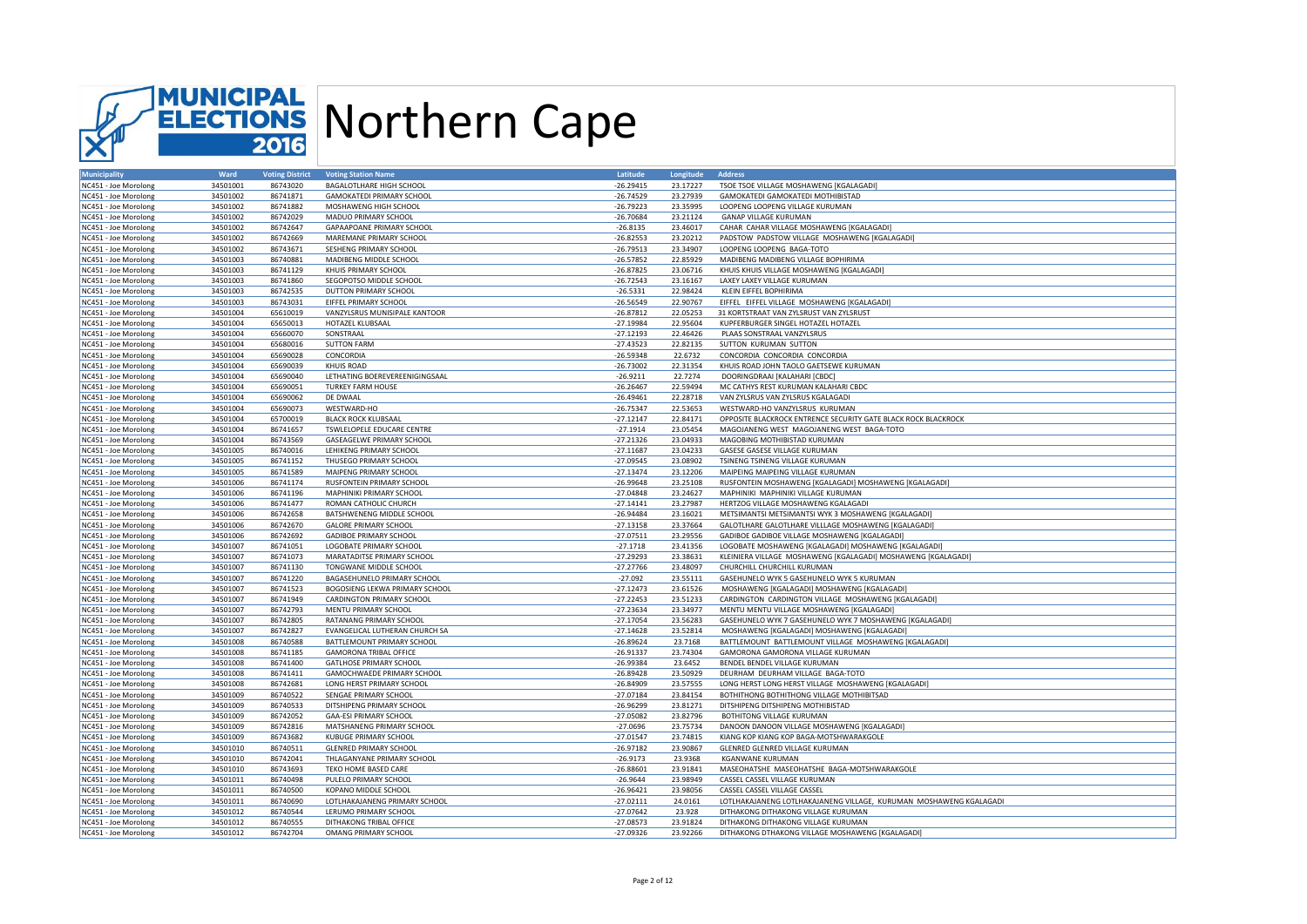

| <b>Municipality</b>  | Ward                 | <b>Voting District</b> | <b>Voting Station Name</b>       | Latitude                  | Longitude            | <b>Address</b>                                                     |
|----------------------|----------------------|------------------------|----------------------------------|---------------------------|----------------------|--------------------------------------------------------------------|
| NC451 - Joe Morolong | 34501001             | 86743020               | BAGALOTLHARE HIGH SCHOOL         | $-26.29415$               | 23.17227             | TSOE TSOE VILLAGE MOSHAWENG [KGALAGADI]                            |
| NC451 - Joe Morolong | 34501002             | 86741871               | <b>GAMOKATEDI PRIMARY SCHOOL</b> | $-26.74529$               | 23.27939             | GAMOKATEDI GAMOKATEDI MOTHIBISTAD                                  |
| NC451 - Joe Morolong | 34501002             | 86741882               | MOSHAWENG HIGH SCHOOL            | $-26.79223$               | 23.35995             | LOOPENG LOOPENG VILLAGE KURUMAN                                    |
| NC451 - Joe Morolong | 34501002             | 86742029               | MADUO PRIMARY SCHOOL             | $-26.70684$               | 23.21124             | <b>GANAP VILLAGE KURUMAN</b>                                       |
| NC451 - Joe Morolong | 34501002             | 86742647               | GAPAAPOANE PRIMARY SCHOOL        | $-26.8135$                | 23.46017             | CAHAR CAHAR VILLAGE MOSHAWENG [KGALAGADI]                          |
| NC451 - Joe Morolong | 34501002             | 86742669               | MAREMANE PRIMARY SCHOOL          | $-26.82553$               | 23.20212             | PADSTOW PADSTOW VILLAGE MOSHAWENG [KGALAGADI]                      |
| NC451 - Joe Morolong | 34501002             | 86743671               | SESHENG PRIMARY SCHOOL           | $-26.79513$               | 23.34907             | LOOPENG LOOPENG BAGA-TOTO                                          |
| NC451 - Joe Morolong | 34501003             | 86740881               | MADIBENG MIDDLE SCHOOL           | $-26.57852$               | 22.85929             | MADIBENG MADIBENG VILLAGE BOPHIRIMA                                |
| NC451 - Joe Morolong | 34501003             | 86741129               | KHUIS PRIMARY SCHOOL             | $-26.87825$               | 23.06716             | KHUIS KHUIS VILLAGE MOSHAWENG [KGALAGADI                           |
| NC451 - Joe Morolong | 34501003             | 86741860               | SEGOPOTSO MIDDLE SCHOOL          | $-26.72543$               | 23.16167             | LAXEY LAXEY VILLAGE KURUMAN                                        |
| NC451 - Joe Morolong | 34501003             | 86742535               | DUTTON PRIMARY SCHOOL            | $-26.5331$                | 22.98424             | KLEIN EIFFEL BOPHIRIMA                                             |
| NC451 - Joe Morolong | 34501003             | 86743031               | EIFFEL PRIMARY SCHOOL            | $-26.56549$               | 22.90767             | EIFFEL EIFFEL VILLAGE MOSHAWENG [KGALAGADI]                        |
| NC451 - Joe Morolong | 34501004             | 65610019               | VANZYLSRUS MUNISIPALE KANTOOR    | $-26.87812$               | 22.05253             | 31 KORTSTRAAT VAN ZYLSRUST VAN ZYLSRUST                            |
|                      |                      |                        |                                  |                           |                      |                                                                    |
| NC451 - Joe Morolong | 34501004             | 65650013               | HOTAZEL KLUBSAAL                 | $-27.19984$               | 22.95604             | KUPFERBURGER SINGEL HOTAZEL HOTAZEL                                |
| NC451 - Joe Morolong | 34501004             | 65660070               | SONSTRAAL                        | $-27.12193$               | 22.46426             | PLAAS SONSTRAAL VANZYLSRUS                                         |
| NC451 - Joe Morolong | 34501004             | 65680016               | <b>SUTTON FARM</b>               | $-27.43523$               | 22.82135             | SUTTON KURUMAN SUTTON                                              |
| NC451 - Joe Morolong | 34501004             | 65690028               | CONCORDIA                        | $-26.59348$               | 22.6732              | CONCORDIA CONCORDIA CONCORDIA                                      |
| NC451 - Joe Morolong | 34501004             | 65690039               | <b>KHUIS ROAD</b>                | $-26.73002$               | 22.31354             | KHUIS ROAD JOHN TAOLO GAETSEWE KURUMAN                             |
| NC451 - Joe Morolong | 34501004             | 65690040               | LETHATING BOEREVEREENIGINGSAAL   | $-26.9211$                | 22.7274              | DOORINGDRAAI [KALAHARI [CBDC]                                      |
| NC451 - Joe Morolong | 34501004             | 65690051               | <b>TURKEY FARM HOUSE</b>         | $-26.26467$               | 22.59494             | MC CATHYS REST KURUMAN KALAHARI CBDC                               |
| NC451 - Joe Morolong | 34501004             | 65690062               | DE DWAAL                         | $-26.49461$               | 22.28718             | VAN ZYLSRUS VAN ZYLSRUS KGALAGADI                                  |
| NC451 - Joe Morolong | 34501004             | 65690073               | WESTWARD-HO                      | $-26.75347$               | 22.53653             | WESTWARD-HO VANZYLSRUS KURUMAN                                     |
| NC451 - Joe Morolong | 34501004             | 65700019               | <b>BLACK ROCK KLUBSAAL</b>       | $-27.12147$               | 22.84171             | OPPOSITE BLACKROCK ENTRENCE SECURITY GATE BLACK ROCK BLACKROCK     |
| NC451 - Joe Morolong | 34501004             | 86741657               | TSWLELOPELE EDUCARE CENTRE       | $-27.1914$                | 23.05454             | MAGOJANENG WEST MAGOJANENG WEST BAGA-TOTO                          |
| NC451 - Joe Morolong | 34501004             | 86743569               | GASEAGELWE PRIMARY SCHOOL        | $-27.21326$               | 23.04933             | MAGOBING MOTHIBISTAD KURUMAN                                       |
| NC451 - Joe Morolong | 34501005             | 86740016               | LEHIKENG PRIMARY SCHOOL          | $-27.11687$               | 23.04233             | GASESE GASESE VILLAGE KURUMAN                                      |
| NC451 - Joe Morolong | 34501005             | 86741152               | THUSEGO PRIMARY SCHOOL           | $-27.09545$               | 23.08902             | TSINENG TSINENG VILLAGE KURUMAN                                    |
| NC451 - Joe Morolong | 34501005             | 86741589               | MAIPENG PRIMARY SCHOOL           | $-27.13474$               | 23.12206             | MAIPEING MAIPEING VILLAGE KURUMAN                                  |
| NC451 - Joe Morolong | 34501006             | 86741174               | <b>RUSFONTEIN PRIMARY SCHOOL</b> | $-26.99648$               | 23.25108             | RUSFONTEIN MOSHAWENG [KGALAGADI] MOSHAWENG [KGALAGADI]             |
| NC451 - Joe Morolong | 34501006             | 86741196               | <b>MAPHINIKI PRIMARY SCHOOL</b>  | $-27.04848$               | 23.24627             | MAPHINIKI MAPHINIKI VILLAGE KURUMAN                                |
| NC451 - Joe Morolong | 34501006             | 86741477               | ROMAN CATHOLIC CHURCH            | $-27.14141$               | 23.27987             | HERTZOG VILLAGE MOSHAWENG KGALAGADI                                |
| NC451 - Joe Morolong | 34501006             | 86742658               | BATSHWENENG MIDDLE SCHOOL        | $-26.94484$               | 23.16021             | METSIMANTSI METSIMANTSI WYK 3 MOSHAWENG [KGALAGADI]                |
| NC451 - Joe Morolong | 34501006             | 86742670               | <b>GALORE PRIMARY SCHOOL</b>     | $-27.13158$               | 23.37664             | GALOTLHARE GALOTLHARE VILLLAGE MOSHAWENG [KGALAGADI]               |
| NC451 - Joe Morolong | 34501006             | 86742692               | <b>GADIBOE PRIMARY SCHOOL</b>    | $-27.07511$               | 23.29556             | GADIBOE GADIBOE VILLAGE MOSHAWENG [KGALAGADI]                      |
|                      |                      | 86741051               |                                  |                           |                      |                                                                    |
| NC451 - Joe Morolong | 34501007<br>34501007 | 86741073               | LOGOBATE PRIMARY SCHOOL          | $-27.1718$<br>$-27.29293$ | 23.41356<br>23.38631 | LOGOBATE MOSHAWENG [KGALAGADI] MOSHAWENG [KGALAGADI]               |
| NC451 - Joe Morolong |                      |                        | MARATADITSE PRIMARY SCHOOL       |                           |                      | KLEINIERA VILLAGE MOSHAWENG [KGALAGADI] MOSHAWENG [KGALAGADI]      |
| NC451 - Joe Morolong | 34501007             | 86741130               | TONGWANE MIDDLE SCHOOL           | $-27.27766$               | 23.48097             | CHURCHILL CHURCHILL KURUMAN                                        |
| NC451 - Joe Morolong | 34501007             | 86741220               | BAGASEHUNELO PRIMARY SCHOOL      | $-27.092$                 | 23.55111             | GASEHUNELO WYK 5 GASEHUNELO WYK 5 KURUMAN                          |
| NC451 - Joe Morolong | 34501007             | 86741523               | BOGOSIENG LEKWA PRIMARY SCHOOL   | $-27.12473$               | 23.61526             | MOSHAWENG [KGALAGADI] MOSHAWENG [KGALAGADI]                        |
| NC451 - Joe Morolong | 34501007             | 86741949               | <b>CARDINGTON PRIMARY SCHOOL</b> | $-27.22453$               | 23.51233             | CARDINGTON CARDINGTON VILLAGE MOSHAWENG [KGALAGADI]                |
| NC451 - Joe Morolong | 34501007             | 86742793               | MENTU PRIMARY SCHOOL             | $-27.23634$               | 23.34977             | MENTU MENTU VILLAGE MOSHAWENG [KGALAGADI]                          |
| NC451 - Joe Morolong | 34501007             | 86742805               | RATANANG PRIMARY SCHOOL          | $-27.17054$               | 23.56283             | GASEHUNELO WYK 7 GASEHUNELO WYK 7 MOSHAWENG [KGALAGADI]            |
| NC451 - Joe Morolong | 34501007             | 86742827               | EVANGELICAL LUTHERAN CHURCH SA   | $-27.14628$               | 23.52814             | MOSHAWENG [KGALAGADI] MOSHAWENG [KGALAGADI                         |
| NC451 - Joe Morolong | 34501008             | 86740588               | BATTLEMOUNT PRIMARY SCHOOL       | $-26.89624$               | 23.7168              | BATTLEMOUNT BATTLEMOUNT VILLAGE MOSHAWENG [KGALAGADI]              |
| NC451 - Joe Morolong | 34501008             | 86741185               | <b>GAMORONA TRIBAL OFFICE</b>    | $-26.91337$               | 23.74304             | GAMORONA GAMORONA VILLAGE KURUMAN                                  |
| NC451 - Joe Morolong | 34501008             | 86741400               | <b>GATLHOSE PRIMARY SCHOOL</b>   | $-26.99384$               | 23.6452              | BENDEL BENDEL VILLAGE KURUMAN                                      |
| NC451 - Joe Morolong | 34501008             | 86741411               | GAMOCHWAEDE PRIMARY SCHOOL       | $-26.89428$               | 23.50929             | DEURHAM DEURHAM VILLAGE BAGA-TOTO                                  |
| NC451 - Joe Morolong | 34501008             | 86742681               | LONG HERST PRIMARY SCHOOL        | $-26.84909$               | 23.57555             | LONG HERST LONG HERST VILLAGE MOSHAWENG [KGALAGADI]                |
| NC451 - Joe Morolong | 34501009             | 86740522               | SENGAE PRIMARY SCHOOL            | $-27.07184$               | 23.84154             | BOTHITHONG BOTHITHONG VILLAGE MOTHIBITSAD                          |
| NC451 - Joe Morolong | 34501009             | 86740533               | DITSHIPENG PRIMARY SCHOOL        | $-26.96299$               | 23.81271             | DITSHIPENG DITSHIPENG MOTHIBISTAD                                  |
| NC451 - Joe Morolong | 34501009             | 86742052               | <b>GAA-ESI PRIMARY SCHOOL</b>    | $-27.05082$               | 23.82796             | BOTHITONG VILLAGE KURUMAN                                          |
| NC451 - Joe Morolong | 34501009             | 86742816               | MATSHANENG PRIMARY SCHOOL        | $-27.0696$                | 23.75734             | DANOON DANOON VILLAGE MOSHAWENG [KGALAGADI]                        |
| NC451 - Joe Morolong | 34501009             | 86743682               | <b>KUBUGE PRIMARY SCHOOL</b>     | $-27.01547$               | 23.74815             | KIANG KOP KIANG KOP BAGA-MOTSHWARAKGOLE                            |
| NC451 - Joe Morolong | 34501010             | 86740511               | <b>GLENRED PRIMARY SCHOOL</b>    | $-26.97182$               | 23.90867             | GLENRED GLENRED VILLAGE KURUMAN                                    |
| NC451 - Joe Morolong | 34501010             | 86742041               | THLAGANYANE PRIMARY SCHOOL       | $-26.9173$                | 23.9368              | <b>KGANWANE KURUMAN</b>                                            |
| NC451 - Joe Morolong | 34501010             | 86743693               | TEKO HOME BASED CARE             | $-26.88601$               | 23.91841             | MASEOHATSHE MASEOHATSHE BAGA-MOTSHWARAKGOLE                        |
| NC451 - Joe Morolong | 34501011             | 86740498               | PULELO PRIMARY SCHOOL            | $-26.9644$                | 23.98949             | CASSEL CASSEL VILLAGE KURUMAN                                      |
| NC451 - Joe Morolong | 34501011             | 86740500               | KOPANO MIDDLE SCHOOL             | $-26.96421$               | 23.98056             | CASSEL CASSEL VILLAGE CASSEL                                       |
| NC451 - Joe Morolong | 34501011             | 86740690               | LOTLHAKAJANENG PRIMARY SCHOOL    | $-27.02111$               | 24.0161              | LOTLHAKAJANENG LOTLHAKAJANENG VILLAGE, KURUMAN MOSHAWENG KGALAGADI |
| NC451 - Joe Morolong | 34501012             | 86740544               | LERUMO PRIMARY SCHOOL            | $-27.07642$               | 23.928               | DITHAKONG DITHAKONG VILLAGE KURUMAN                                |
| NC451 - Joe Morolong | 34501012             | 86740555               | DITHAKONG TRIBAL OFFICE          | $-27.08573$               | 23.91824             | DITHAKONG DITHAKONG VILLAGE KURUMAN                                |
| NC451 - Joe Morolong | 34501012             | 86742704               | OMANG PRIMARY SCHOOL             | $-27.09326$               | 23.92266             | DITHAKONG DTHAKONG VILLAGE MOSHAWENG [KGALAGADI]                   |
|                      |                      |                        |                                  |                           |                      |                                                                    |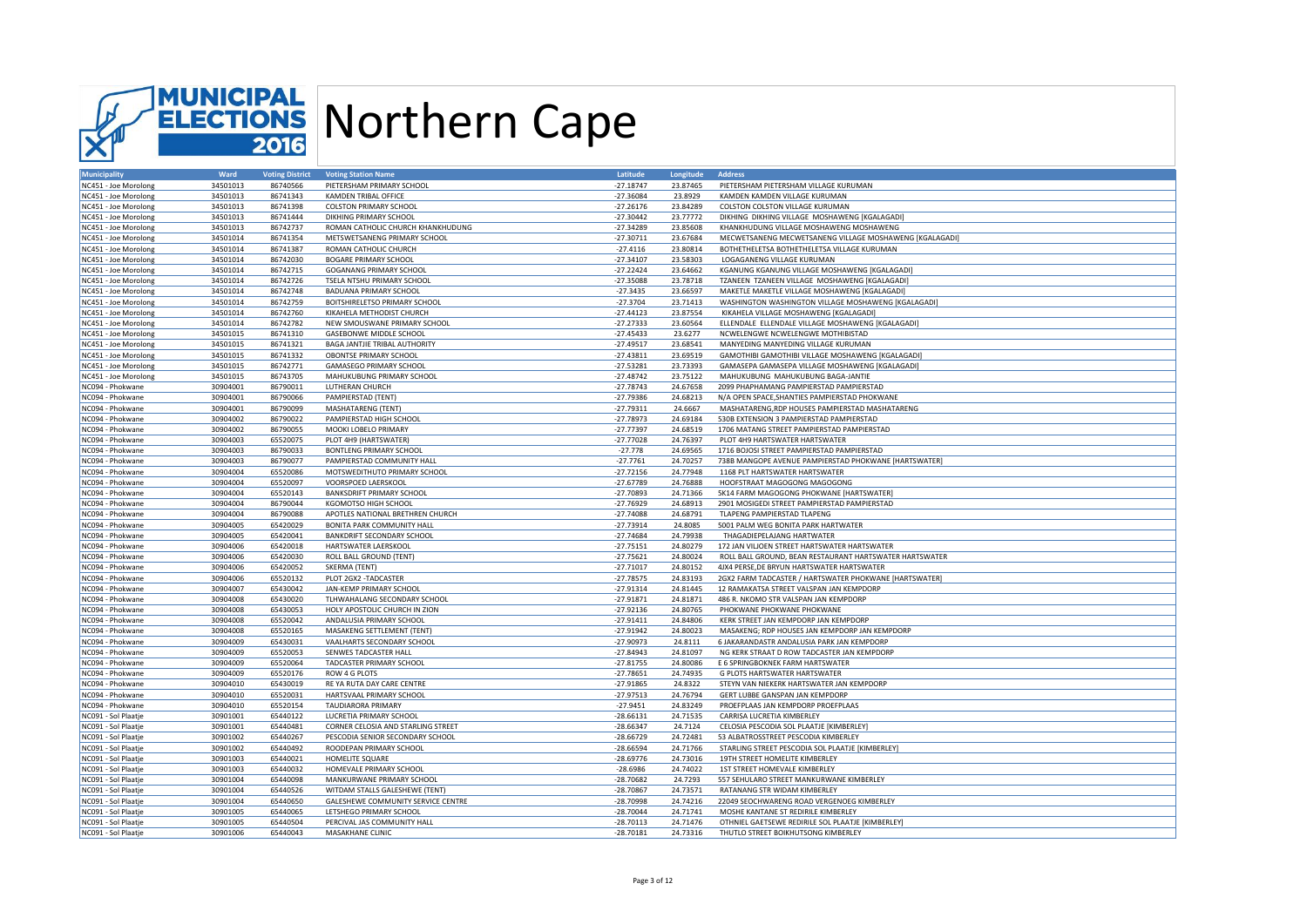

| <b>Municipality</b>  | Ward     | <b>Voting District</b> | <b>Voting Station Name</b>         | Latitude    | Longitude | <b>Address</b>                                          |
|----------------------|----------|------------------------|------------------------------------|-------------|-----------|---------------------------------------------------------|
| NC451 - Joe Morolong | 34501013 | 86740566               | PIETERSHAM PRIMARY SCHOOL          | $-27.18747$ | 23.87465  | PIETERSHAM PIETERSHAM VILLAGE KURUMAN                   |
| NC451 - Joe Morolong | 34501013 | 86741343               | <b>KAMDEN TRIBAL OFFICE</b>        | $-27.36084$ | 23.8929   | KAMDEN KAMDEN VILLAGE KURUMAN                           |
| NC451 - Joe Morolong | 34501013 | 86741398               | <b>COLSTON PRIMARY SCHOOL</b>      | $-27.26176$ | 23.84289  | COLSTON COLSTON VILLAGE KURUMAN                         |
| NC451 - Joe Morolong | 34501013 | 86741444               | DIKHING PRIMARY SCHOOL             | $-27.30442$ | 23.77772  | DIKHING DIKHING VILLAGE MOSHAWENG [KGALAGADI]           |
| NC451 - Joe Morolong | 34501013 | 86742737               | ROMAN CATHOLIC CHURCH KHANKHUDUNG  | $-27.34289$ | 23.85608  | KHANKHUDUNG VILLAGE MOSHAWENG MOSHAWENG                 |
| NC451 - Joe Morolong | 34501014 | 86741354               | METSWETSANENG PRIMARY SCHOOL       | $-27.30711$ | 23.67684  | MECWETSANENG MECWETSANENG VILLAGE MOSHAWENG [KGALAGADI] |
|                      |          |                        |                                    |             |           |                                                         |
| NC451 - Joe Morolong | 34501014 | 86741387               | ROMAN CATHOLIC CHURCH              | $-27.4116$  | 23.80814  | BOTHETHELETSA BOTHETHELETSA VILLAGE KURUMAN             |
| NC451 - Joe Morolong | 34501014 | 86742030               | <b>BOGARE PRIMARY SCHOOL</b>       | $-27.34107$ | 23.58303  | LOGAGANENG VILLAGE KURUMAN                              |
| NC451 - Joe Morolong | 34501014 | 86742715               | <b>GOGANANG PRIMARY SCHOOL</b>     | $-27.22424$ | 23.64662  | KGANUNG KGANUNG VILLAGE MOSHAWENG [KGALAGADI]           |
| NC451 - Joe Morolong | 34501014 | 86742726               | TSELA NTSHU PRIMARY SCHOOL         | $-27.35088$ | 23.78718  | TZANEEN TZANEEN VILLAGE MOSHAWENG [KGALAGADI]           |
| NC451 - Joe Morolong | 34501014 | 86742748               | <b>BADUANA PRIMARY SCHOOL</b>      | $-27.3435$  | 23.66597  | MAKETLE MAKETLE VILLAGE MOSHAWENG [KGALAGADI]           |
| NC451 - Joe Morolong | 34501014 | 86742759               | BOITSHIRELETSO PRIMARY SCHOOL      | $-27.3704$  | 23.71413  | WASHINGTON WASHINGTON VILLAGE MOSHAWENG [KGALAGADI]     |
| NC451 - Joe Morolong | 34501014 | 86742760               | KIKAHELA METHODIST CHURCH          | $-27.44123$ | 23.87554  | KIKAHELA VILLAGE MOSHAWENG [KGALAGADI]                  |
| NC451 - Joe Morolong | 34501014 | 86742782               | NEW SMOUSWANE PRIMARY SCHOOL       | $-27.27333$ | 23.60564  | ELLENDALE ELLENDALE VILLAGE MOSHAWENG [KGALAGADI]       |
| NC451 - Joe Morolong | 34501015 | 86741310               | GASEBONWE MIDDLE SCHOOL            | $-27.45433$ | 23.6277   | NCWELENGWE NCWELENGWE MOTHIBISTAD                       |
| NC451 - Joe Morolong | 34501015 | 86741321               | BAGA JANTJIE TRIBAL AUTHORITY      | $-27.49517$ | 23.68541  | MANYEDING MANYEDING VILLAGE KURUMAN                     |
| NC451 - Joe Morolong | 34501015 | 86741332               | OBONTSE PRIMARY SCHOOL             | $-27.43811$ | 23.69519  | GAMOTHIBI GAMOTHIBI VILLAGE MOSHAWENG [KGALAGADI]       |
| NC451 - Joe Morolong | 34501015 | 86742771               | <b>GAMASEGO PRIMARY SCHOOL</b>     | $-27.53281$ | 23.73393  | GAMASEPA GAMASEPA VILLAGE MOSHAWENG [KGALAGADI]         |
|                      |          |                        |                                    |             |           |                                                         |
| NC451 - Joe Morolong | 34501015 | 86743705               | MAHUKUBUNG PRIMARY SCHOOL          | $-27.48742$ | 23.75122  | MAHUKUBUNG MAHUKUBUNG BAGA-JANTIE                       |
| NC094 - Phokwane     | 30904001 | 86790011               | LUTHERAN CHURCH                    | $-27.78743$ | 24.67658  | 2099 PHAPHAMANG PAMPIERSTAD PAMPIERSTAD                 |
| NC094 - Phokwane     | 30904001 | 86790066               | PAMPIERSTAD (TENT)                 | $-27.79386$ | 24.68213  | N/A OPEN SPACE, SHANTIES PAMPIERSTAD PHOKWANE           |
| NC094 - Phokwane     | 30904001 | 86790099               | <b>MASHATARENG (TENT)</b>          | $-27.79311$ | 24.6667   | MASHATARENG, RDP HOUSES PAMPIERSTAD MASHATARENG         |
| NC094 - Phokwane     | 30904002 | 86790022               | PAMPIERSTAD HIGH SCHOOL            | $-27.78973$ | 24.69184  | 530B EXTENSION 3 PAMPIERSTAD PAMPIERSTAD                |
| NC094 - Phokwane     | 30904002 | 86790055               | MOOKI LOBELO PRIMARY               | $-27.77397$ | 24.68519  | 1706 MATANG STREET PAMPIERSTAD PAMPIERSTAD              |
| NC094 - Phokwane     | 30904003 | 65520075               | PLOT 4H9 (HARTSWATER)              | $-27.77028$ | 24.76397  | PLOT 4H9 HARTSWATER HARTSWATER                          |
| NC094 - Phokwane     | 30904003 | 86790033               | <b>BONTLENG PRIMARY SCHOOL</b>     | $-27.778$   | 24.69565  | 1716 BOJOSI STREET PAMPIERSTAD PAMPIERSTAD              |
| NC094 - Phokwane     | 30904003 | 86790077               | PAMPIERSTAD COMMUNITY HALL         | $-27.7761$  | 24.70257  | 738B MANGOPE AVENUE PAMPIERSTAD PHOKWANE [HARTSWATER]   |
| NC094 - Phokwane     | 30904004 | 65520086               | MOTSWEDITHUTO PRIMARY SCHOOL       | $-27.72156$ | 24.77948  | 1168 PLT HARTSWATER HARTSWATER                          |
| NC094 - Phokwane     | 30904004 | 65520097               | VOORSPOED LAERSKOOL                | $-27.67789$ | 24.76888  | HOOFSTRAAT MAGOGONG MAGOGONG                            |
|                      |          |                        |                                    |             |           |                                                         |
| NC094 - Phokwane     | 30904004 | 65520143               | <b>BANKSDRIFT PRIMARY SCHOOL</b>   | $-27.70893$ | 24.71366  | 5K14 FARM MAGOGONG PHOKWANE [HARTSWATER]                |
| NC094 - Phokwane     | 30904004 | 86790044               | KGOMOTSO HIGH SCHOOL               | $-27.76929$ | 24.68913  | 2901 MOSIGEDI STREET PAMPIERSTAD PAMPIERSTAD            |
| NC094 - Phokwane     | 30904004 | 86790088               | APOTLES NATIONAL BRETHREN CHURCH   | $-27.74088$ | 24.68791  | TLAPENG PAMPIERSTAD TLAPENG                             |
| NC094 - Phokwane     | 30904005 | 65420029               | BONITA PARK COMMUNITY HALL         | $-27.73914$ | 24.8085   | 5001 PALM WEG BONITA PARK HARTWATER                     |
| NC094 - Phokwane     | 30904005 | 65420041               | BANKDRIFT SECONDARY SCHOOL         | $-27.74684$ | 24.79938  | THAGADIEPELAJANG HARTWATER                              |
| NC094 - Phokwane     | 30904006 | 65420018               | HARTSWATER LAERSKOOL               | $-27.75151$ | 24.80279  | 172 JAN VILJOEN STREET HARTSWATER HARTSWATER            |
| NC094 - Phokwane     | 30904006 | 65420030               | ROLL BALL GROUND (TENT)            | $-27.75621$ | 24.80024  | ROLL BALL GROUND, BEAN RESTAURANT HARTSWATER HARTSWATER |
| NC094 - Phokwane     | 30904006 | 65420052               | SKERMA (TENT)                      | $-27.71017$ | 24.80152  | 4JX4 PERSE, DE BRYUN HARTSWATER HARTSWATER              |
| NC094 - Phokwane     | 30904006 | 65520132               | PLOT 2GX2 -TADCASTER               | $-27.78575$ | 24.83193  | 2GX2 FARM TADCASTER / HARTSWATER PHOKWANE [HARTSWATER]  |
| NC094 - Phokwane     | 30904007 | 65430042               | JAN-KEMP PRIMARY SCHOOL            | $-27.91314$ | 24.81445  | 12 RAMAKATSA STREET VALSPAN JAN KEMPDORP                |
| NC094 - Phokwane     | 30904008 | 65430020               | TLHWAHALANG SECONDARY SCHOOL       | $-27.91871$ | 24.81871  | 486 R. NKOMO STR VALSPAN JAN KEMPDORP                   |
| NC094 - Phokwane     | 30904008 | 65430053               | HOLY APOSTOLIC CHURCH IN ZION      | $-27.92136$ | 24.80765  | PHOKWANE PHOKWANE PHOKWANE                              |
| NC094 - Phokwane     | 30904008 | 65520042               | ANDALUSIA PRIMARY SCHOOL           | $-27.91411$ | 24.84806  | KERK STREET JAN KEMPDORP JAN KEMPDORP                   |
| NC094 - Phokwane     | 30904008 | 65520165               | MASAKENG SETTLEMENT (TENT)         | $-27.91942$ | 24.80023  | MASAKENG; RDP HOUSES JAN KEMPDORP JAN KEMPDORP          |
|                      |          |                        |                                    |             |           |                                                         |
| NC094 - Phokwane     | 30904009 | 65430031               | VAALHARTS SECONDARY SCHOOL         | $-27.90973$ | 24.8111   | 6 JAKARANDASTR ANDALUSIA PARK JAN KEMPDORP              |
| NC094 - Phokwane     | 30904009 | 65520053               | SENWES TADCASTER HALL              | $-27.84943$ | 24.81097  | NG KERK STRAAT D ROW TADCASTER JAN KEMPDORP             |
| NC094 - Phokwane     | 30904009 | 65520064               | TADCASTER PRIMARY SCHOOL           | $-27.81755$ | 24.80086  | E 6 SPRINGBOKNEK FARM HARTSWATER                        |
| NC094 - Phokwane     | 30904009 | 65520176               | ROW 4 G PLOTS                      | $-27.78651$ | 24.74935  | G PLOTS HARTSWATER HARTSWATER                           |
| NC094 - Phokwane     | 30904010 | 65430019               | RE YA RUTA DAY CARE CENTRE         | $-27.91865$ | 24.8322   | STEYN VAN NIEKERK HARTSWATER JAN KEMPDORP               |
| NC094 - Phokwane     | 30904010 | 65520031               | HARTSVAAL PRIMARY SCHOOL           | $-27.97513$ | 24.76794  | GERT LUBBE GANSPAN JAN KEMPDORP                         |
| NC094 - Phokwane     | 30904010 | 65520154               | <b>TAUDIARORA PRIMARY</b>          | $-27.9451$  | 24.83249  | PROEFPLAAS JAN KEMPDORP PROEFPLAAS                      |
| NC091 - Sol Plaatje  | 30901001 | 65440122               | LUCRETIA PRIMARY SCHOOL            | $-28.66131$ | 24.71535  | CARRISA LUCRETIA KIMBERLEY                              |
| NC091 - Sol Plaatje  | 30901001 | 65440481               | CORNER CELOSIA AND STARLING STREET | $-28.66347$ | 24.7124   | CELOSIA PESCODIA SOL PLAATJE [KIMBERLEY]                |
| NC091 - Sol Plaatje  | 30901002 | 65440267               | PESCODIA SENIOR SECONDARY SCHOOL   | $-28.66729$ | 24.72481  | 53 ALBATROSSTREET PESCODIA KIMBERLEY                    |
| NC091 - Sol Plaatje  | 30901002 | 65440492               | ROODEPAN PRIMARY SCHOOL            | $-28.66594$ | 24.71766  | STARLING STREET PESCODIA SOL PLAATJE [KIMBERLEY]        |
| NC091 - Sol Plaatje  | 30901003 | 65440021               | HOMELITE SQUARE                    | $-28.69776$ | 24.73016  | 19TH STREET HOMELITE KIMBERLEY                          |
|                      |          |                        |                                    |             |           |                                                         |
| NC091 - Sol Plaatje  | 30901003 | 65440032               | HOMEVALE PRIMARY SCHOOL            | $-28.6986$  | 24.74022  | 1ST STREET HOMEVALE KIMBERLEY                           |
| NC091 - Sol Plaatje  | 30901004 | 65440098               | MANKURWANE PRIMARY SCHOOL          | $-28.70682$ | 24.7293   | 557 SEHULARO STREET MANKURWANE KIMBERLEY                |
| NC091 - Sol Plaatje  | 30901004 | 65440526               | WITDAM STALLS GALESHEWE (TENT)     | $-28.70867$ | 24.73571  | RATANANG STR WIDAM KIMBERLEY                            |
| NC091 - Sol Plaatje  | 30901004 | 65440650               | GALESHEWE COMMUNITY SERVICE CENTRE | $-28.70998$ | 24.74216  | 22049 SEOCHWARENG ROAD VERGENOEG KIMBERLEY              |
| NC091 - Sol Plaatje  | 30901005 | 65440065               | LETSHEGO PRIMARY SCHOOL            | $-28.70044$ | 24.71741  | MOSHE KANTANE ST REDIRILE KIMBERLEY                     |
| NC091 - Sol Plaatie  | 30901005 | 65440504               | PERCIVAL JAS COMMUNITY HALL        | $-28.70113$ | 24.71476  | OTHNIEL GAETSEWE REDIRILE SOL PLAATJE [KIMBERLEY]       |
| NC091 - Sol Plaatje  | 30901006 | 65440043               | MASAKHANE CLINIC                   | $-28.70181$ | 24.73316  | THUTLO STREET BOIKHUTSONG KIMBERLEY                     |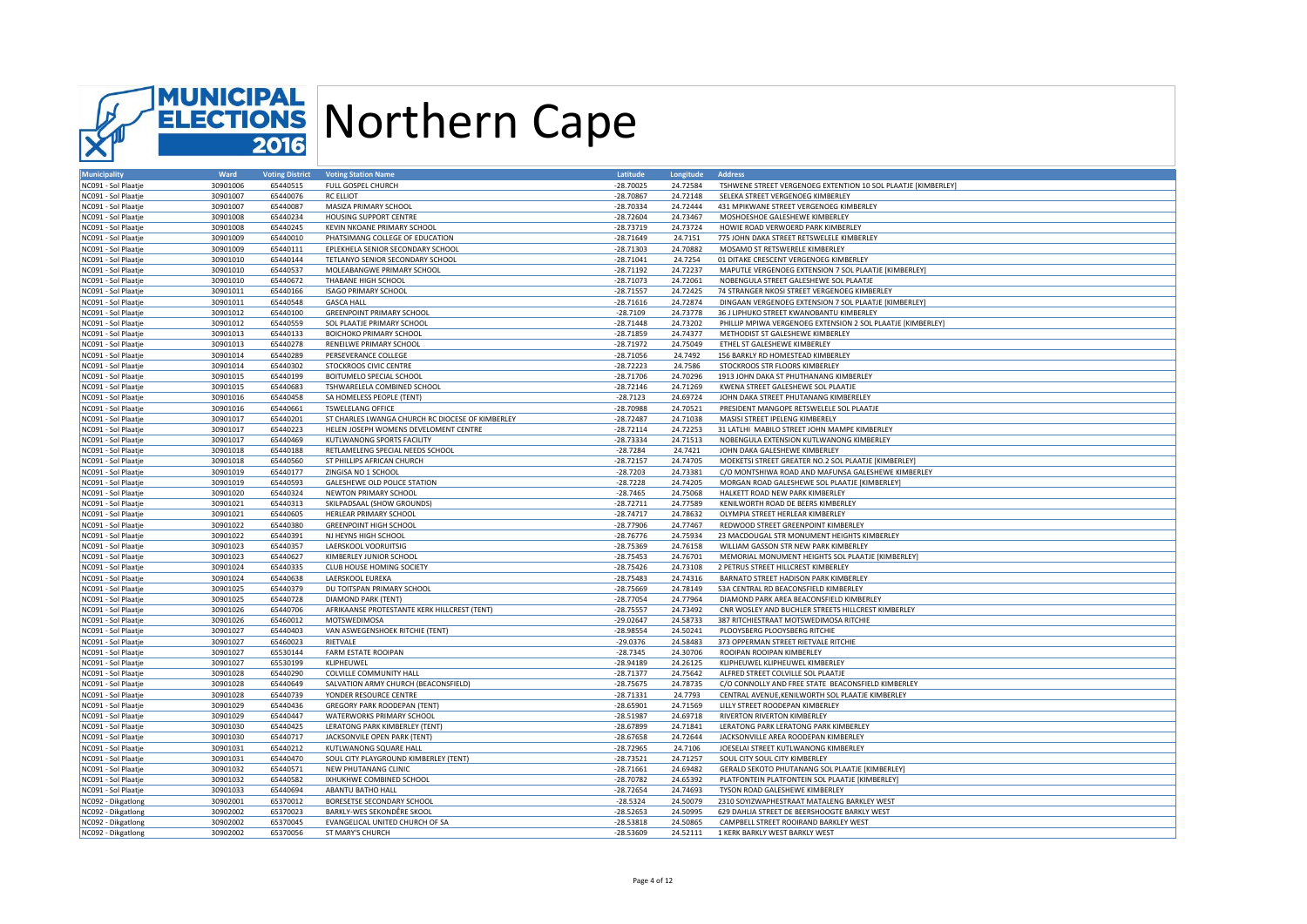

| <b>Municipality</b> | Ward                 | <b>Voting District</b> | <b>Voting Station Name</b>                               | Latitude    | Longitude | <b>Address</b>                                                                              |
|---------------------|----------------------|------------------------|----------------------------------------------------------|-------------|-----------|---------------------------------------------------------------------------------------------|
| NC091 - Sol Plaatje | 30901006             | 65440515               | FULL GOSPEL CHURCH                                       | $-28.70025$ | 24.72584  | TSHWENE STREET VERGENOEG EXTENTION 10 SOL PLAATJE [KIMBERLEY]                               |
| NC091 - Sol Plaatje | 30901007             | 65440076               | <b>RC ELLIOT</b>                                         | $-28.70867$ | 24.72148  | SELEKA STREET VERGENOEG KIMBERLEY                                                           |
| NC091 - Sol Plaatje | 30901007             | 65440087               | MASIZA PRIMARY SCHOOL                                    | $-28.70334$ | 24.72444  | 431 MPIKWANE STREET VERGENOEG KIMBERLEY                                                     |
| NC091 - Sol Plaatje | 30901008             | 65440234               | <b>HOUSING SUPPORT CENTRE</b>                            | $-28.72604$ | 24.73467  | MOSHOESHOE GALESHEWE KIMBERLEY                                                              |
| NC091 - Sol Plaatje | 30901008             | 65440245               | KEVIN NKOANE PRIMARY SCHOOL                              | $-28.73719$ | 24.73724  | HOWIE ROAD VERWOERD PARK KIMBERLEY                                                          |
| NC091 - Sol Plaatje | 30901009             | 65440010               | PHATSIMANG COLLEGE OF EDUCATION                          | $-28.71649$ | 24.7151   | 775 JOHN DAKA STREET RETSWELELE KIMBERLEY                                                   |
| NC091 - Sol Plaatje | 30901009             | 65440111               | EPLEKHELA SENIOR SECONDARY SCHOOL                        | $-28.71303$ | 24.70882  | MOSAMO ST RETSWERELE KIMBERLEY                                                              |
| NC091 - Sol Plaatje | 30901010             | 65440144               | TETLANYO SENIOR SECONDARY SCHOOL                         | $-28.71041$ | 24.7254   | 01 DITAKE CRESCENT VERGENOEG KIMBERLEY                                                      |
| NC091 - Sol Plaatje | 30901010             | 65440537               | MOLEABANGWE PRIMARY SCHOOL                               | $-28.71192$ | 24.72237  | MAPUTLE VERGENOEG EXTENSION 7 SOL PLAATJE [KIMBERLEY]                                       |
| NC091 - Sol Plaatje | 30901010             | 65440672               | THABANE HIGH SCHOOL                                      | $-28.71073$ | 24.72061  | NOBENGULA STREET GALESHEWE SOL PLAATJE                                                      |
| NC091 - Sol Plaatje | 30901011             | 65440166               | <b>ISAGO PRIMARY SCHOOL</b>                              | $-28.71557$ | 24.72425  | 74 STRANGER NKOSI STREET VERGENOEG KIMBERLEY                                                |
|                     |                      |                        |                                                          |             |           |                                                                                             |
| NC091 - Sol Plaatje | 30901011             | 65440548               | <b>GASCA HALL</b>                                        | $-28.71616$ | 24.72874  | DINGAAN VERGENOEG EXTENSION 7 SOL PLAATJE [KIMBERLEY]                                       |
| NC091 - Sol Plaatje | 30901012             | 65440100               | <b>GREENPOINT PRIMARY SCHOOL</b>                         | $-28.7109$  | 24.73778  | 36 J LIPHUKO STREET KWANOBANTU KIMBERLEY                                                    |
| NC091 - Sol Plaatje | 30901012             | 65440559               | SOL PLAATJE PRIMARY SCHOOL                               | $-28.71448$ | 24.73202  | PHILLIP MPIWA VERGENOEG EXTENSION 2 SOL PLAATJE [KIMBERLEY]                                 |
| NC091 - Sol Plaatje | 30901013             | 65440133               | <b>BOICHOKO PRIMARY SCHOOL</b>                           | $-28.71859$ | 24.74377  | METHODIST ST GALESHEWE KIMBERLEY                                                            |
| NC091 - Sol Plaatje | 30901013             | 65440278               | RENEILWE PRIMARY SCHOOL                                  | $-28.71972$ | 24.75049  | ETHEL ST GALESHEWE KIMBERLEY                                                                |
| NC091 - Sol Plaatje | 30901014             | 65440289               | PERSEVERANCE COLLEGE                                     | $-28.71056$ | 24.7492   | 156 BARKLY RD HOMESTEAD KIMBERLEY                                                           |
| NC091 - Sol Plaatje | 30901014             | 65440302               | STOCKROOS CIVIC CENTRE                                   | $-28.72223$ | 24.7586   | STOCKROOS STR FLOORS KIMBERLEY                                                              |
| NC091 - Sol Plaatje | 30901015             | 65440199               | BOITUMELO SPECIAL SCHOOL                                 | $-28.71706$ | 24.70296  | 1913 JOHN DAKA ST PHUTHANANG KIMBERLEY                                                      |
| NC091 - Sol Plaatje | 30901015             | 65440683               | TSHWARELELA COMBINED SCHOOL                              | $-28.72146$ | 24.71269  | KWENA STREET GALESHEWE SOL PLAATJE                                                          |
| NC091 - Sol Plaatje | 30901016             | 65440458               | SA HOMELESS PEOPLE (TENT)                                | $-28.7123$  | 24.69724  | JOHN DAKA STREET PHUTANANG KIMBERELEY                                                       |
| NC091 - Sol Plaatje | 30901016             | 65440661               | <b>TSWELELANG OFFICE</b>                                 | $-28.70988$ | 24.70521  | PRESIDENT MANGOPE RETSWELELE SOL PLAATJE                                                    |
| NC091 - Sol Plaatje | 30901017             | 65440201               | ST CHARLES LWANGA CHURCH RC DIOCESE OF KIMBERLEY         | $-28.72487$ | 24.71038  | MASISI STREET IPELENG KIMBERELY                                                             |
| NC091 - Sol Plaatje | 30901017             | 65440223               | HELEN JOSEPH WOMENS DEVELOMENT CENTRE                    | $-28.72114$ | 24.72253  | 31 LATLHI MABILO STREET JOHN MAMPE KIMBERLEY                                                |
| NC091 - Sol Plaatje | 30901017             | 65440469               | KUTLWANONG SPORTS FACILITY                               | $-28.73334$ | 24.71513  | NOBENGULA EXTENSION KUTLWANONG KIMBERLEY                                                    |
| NC091 - Sol Plaatje | 30901018             | 65440188               | RETLAMELENG SPECIAL NEEDS SCHOOL                         | $-28.7284$  | 24.7421   | JOHN DAKA GALESHEWE KIMBERLEY                                                               |
| NC091 - Sol Plaatje | 30901018             | 65440560               | ST PHILLIPS AFRICAN CHURCH                               | $-28.72157$ | 24.74705  | MOEKETSI STREET GREATER NO.2 SOL PLAATJE [KIMBERLEY]                                        |
| NC091 - Sol Plaatje | 30901019             | 65440177               | ZINGISA NO 1 SCHOOL                                      | $-28.7203$  | 24.73381  | C/O MONTSHIWA ROAD AND MAFUNSA GALESHEWE KIMBERLEY                                          |
| NC091 - Sol Plaatje | 30901019             | 65440593               | GALESHEWE OLD POLICE STATION                             | $-28.7228$  | 24.74205  | MORGAN ROAD GALESHEWE SOL PLAATJE [KIMBERLEY]                                               |
| NC091 - Sol Plaatje | 30901020             | 65440324               | NEWTON PRIMARY SCHOOL                                    | $-28.7465$  | 24.75068  | HALKETT ROAD NEW PARK KIMBERLEY                                                             |
| NC091 - Sol Plaatje | 30901021             | 65440313               | SKILPADSAAL (SHOW GROUNDS)                               | $-28.72711$ | 24.77589  | KENILWORTH ROAD DE BEERS KIMBERLEY                                                          |
| NC091 - Sol Plaatje | 30901021             | 65440605               | HERLEAR PRIMARY SCHOOL                                   | $-28.74717$ | 24.78632  | OLYMPIA STREET HERLEAR KIMBERLEY                                                            |
|                     |                      | 65440380               |                                                          |             | 24.77467  |                                                                                             |
| NC091 - Sol Plaatje | 30901022             |                        | <b>GREENPOINT HIGH SCHOOL</b>                            | $-28.77906$ | 24.75934  | REDWOOD STREET GREENPOINT KIMBERLEY                                                         |
| NC091 - Sol Plaatje | 30901022             | 65440391               | NJ HEYNS HIGH SCHOOL                                     | $-28.76776$ |           | 23 MACDOUGAL STR MONUMENT HEIGHTS KIMBERLEY                                                 |
| NC091 - Sol Plaatje | 30901023             | 65440357               | LAERSKOOL VOORUITSIG                                     | $-28.75369$ | 24.76158  | WILLIAM GASSON STR NEW PARK KIMBERLEY                                                       |
| NC091 - Sol Plaatje | 30901023             | 65440627               | KIMBERLEY JUNIOR SCHOOL                                  | $-28.75453$ | 24.76701  | MEMORIAL MONUMENT HEIGHTS SOL PLAATJE [KIMBERLEY]                                           |
| NC091 - Sol Plaatje | 30901024             | 65440335               | CLUB HOUSE HOMING SOCIETY                                | $-28.75426$ | 24.73108  | 2 PETRUS STREET HILLCREST KIMBERLEY                                                         |
| NC091 - Sol Plaatje | 30901024             | 65440638               | LAERSKOOL EUREKA                                         | $-28.75483$ | 24.74316  | BARNATO STREET HADISON PARK KIMBERLEY                                                       |
| NC091 - Sol Plaatje | 30901025             | 65440379               | DU TOITSPAN PRIMARY SCHOOL                               | $-28.75669$ | 24.78149  | 53A CENTRAL RD BEACONSFIELD KIMBERLEY                                                       |
| NC091 - Sol Plaatje | 30901025             | 65440728               | <b>DIAMOND PARK (TENT)</b>                               | $-28.77054$ | 24.77964  | DIAMOND PARK AREA BEACONSFIELD KIMBERLEY                                                    |
| NC091 - Sol Plaatje | 30901026             | 65440706               | AFRIKAANSE PROTESTANTE KERK HILLCREST (TENT)             | $-28.75557$ | 24.73492  | CNR WOSLEY AND BUCHLER STREETS HILLCREST KIMBERLEY                                          |
| NC091 - Sol Plaatje | 30901026             | 65460012               | MOTSWEDIMOSA                                             | $-29.02647$ | 24.58733  | 387 RITCHIESTRAAT MOTSWEDIMOSA RITCHIE                                                      |
| NC091 - Sol Plaatje | 30901027             | 65440403               | VAN ASWEGENSHOEK RITCHIE (TENT)                          | $-28.98554$ | 24.50241  | PLOOYSBERG PLOOYSBERG RITCHIE                                                               |
| NC091 - Sol Plaatje | 30901027             | 65460023               | RIETVALE                                                 | $-29.0376$  | 24.58483  | 373 OPPERMAN STREET RIETVALE RITCHIE                                                        |
| NC091 - Sol Plaatje | 30901027             | 65530144               | <b>FARM ESTATE ROOIPAN</b>                               | $-28.7345$  | 24.30706  | ROOIPAN ROOIPAN KIMBERLEY                                                                   |
| NC091 - Sol Plaatje | 30901027             | 65530199               | KLIPHEUWEL                                               | $-28.94189$ | 24.26125  | KLIPHEUWEL KLIPHEUWEL KIMBERLEY                                                             |
| NC091 - Sol Plaatje | 30901028             | 65440290               | COLVILLE COMMUNITY HALL                                  | $-28.71377$ | 24.75642  | ALFRED STREET COLVILLE SOL PLAATJE                                                          |
| NC091 - Sol Plaatje | 30901028             | 65440649               | SALVATION ARMY CHURCH (BEACONSFIELD)                     | $-28.75675$ | 24.78735  | C/O CONNOLLY AND FREE STATE BEACONSFIELD KIMBERLEY                                          |
| NC091 - Sol Plaatje | 30901028             | 65440739               | YONDER RESOURCE CENTRE                                   | $-28.71331$ | 24.7793   | CENTRAL AVENUE, KENILWORTH SOL PLAATJE KIMBERLEY                                            |
| NC091 - Sol Plaatje | 30901029             | 65440436               | <b>GREGORY PARK ROODEPAN (TENT)</b>                      | $-28.65901$ | 24.71569  | LILLY STREET ROODEPAN KIMBERLEY                                                             |
| NC091 - Sol Plaatje | 30901029             | 65440447               | WATERWORKS PRIMARY SCHOOL                                | $-28.51987$ | 24.69718  | RIVERTON RIVERTON KIMBERLEY                                                                 |
| NC091 - Sol Plaatje | 30901030             | 65440425               | LERATONG PARK KIMBERLEY (TENT)                           | $-28.67899$ | 24.71841  | LERATONG PARK LERATONG PARK KIMBERLEY                                                       |
| NC091 - Sol Plaatje | 30901030             | 65440717               | JACKSONVILE OPEN PARK (TENT)                             | $-28.67658$ | 24.72644  | JACKSONVILLE AREA ROODEPAN KIMBERLEY                                                        |
| NC091 - Sol Plaatje | 30901031             | 65440212               | KUTLWANONG SQUARE HALL                                   | $-28.72965$ | 24.7106   | JOESELAI STREET KUTLWANONG KIMBERLEY                                                        |
| NC091 - Sol Plaatje | 30901031             | 65440470               | SOUL CITY PLAYGROUND KIMBERLEY (TENT)                    | $-28.73521$ | 24.71257  | SOUL CITY SOUL CITY KIMBERLEY                                                               |
| NC091 - Sol Plaatje | 30901032             | 65440571               | NEW PHUTANANG CLINIC                                     | $-28.71661$ | 24.69482  | GERALD SEKOTO PHUTANANG SOL PLAATJE [KIMBERLEY]                                             |
| NC091 - Sol Plaatje | 30901032             | 65440582               | IXHUKHWE COMBINED SCHOOL                                 | $-28.70782$ | 24.65392  | PLATFONTEIN PLATFONTEIN SOL PLAATJE [KIMBERLEY]                                             |
| NC091 - Sol Plaatje | 30901033             | 65440694               | ABANTU BATHO HALL                                        | $-28.72654$ | 24.74693  | TYSON ROAD GALESHEWE KIMBERLEY                                                              |
|                     |                      | 65370012               |                                                          | $-28.5324$  | 24.50079  |                                                                                             |
| NC092 - Dikgatlong  | 30902001<br>30902002 |                        | BORESETSE SECONDARY SCHOOL<br>BARKLY-WES SEKONDÊRE SKOOL | $-28.52653$ | 24.50995  | 2310 SOYIZWAPHESTRAAT MATALENG BARKLEY WEST<br>629 DAHLIA STREET DE BEERSHOOGTE BARKLY WEST |
| NC092 - Dikgatlong  |                      | 65370023               |                                                          |             |           |                                                                                             |
| NC092 - Dikgatlong  | 30902002             | 65370045               | EVANGELICAL UNITED CHURCH OF SA                          | $-28.53818$ | 24.50865  | CAMPBELL STREET ROOIRAND BARKLEY WEST                                                       |
| NC092 - Dikgatlong  | 30902002             | 65370056               | ST MARY'S CHURCH                                         | $-28.53609$ | 24.52111  | 1 KERK BARKLY WEST BARKLY WEST                                                              |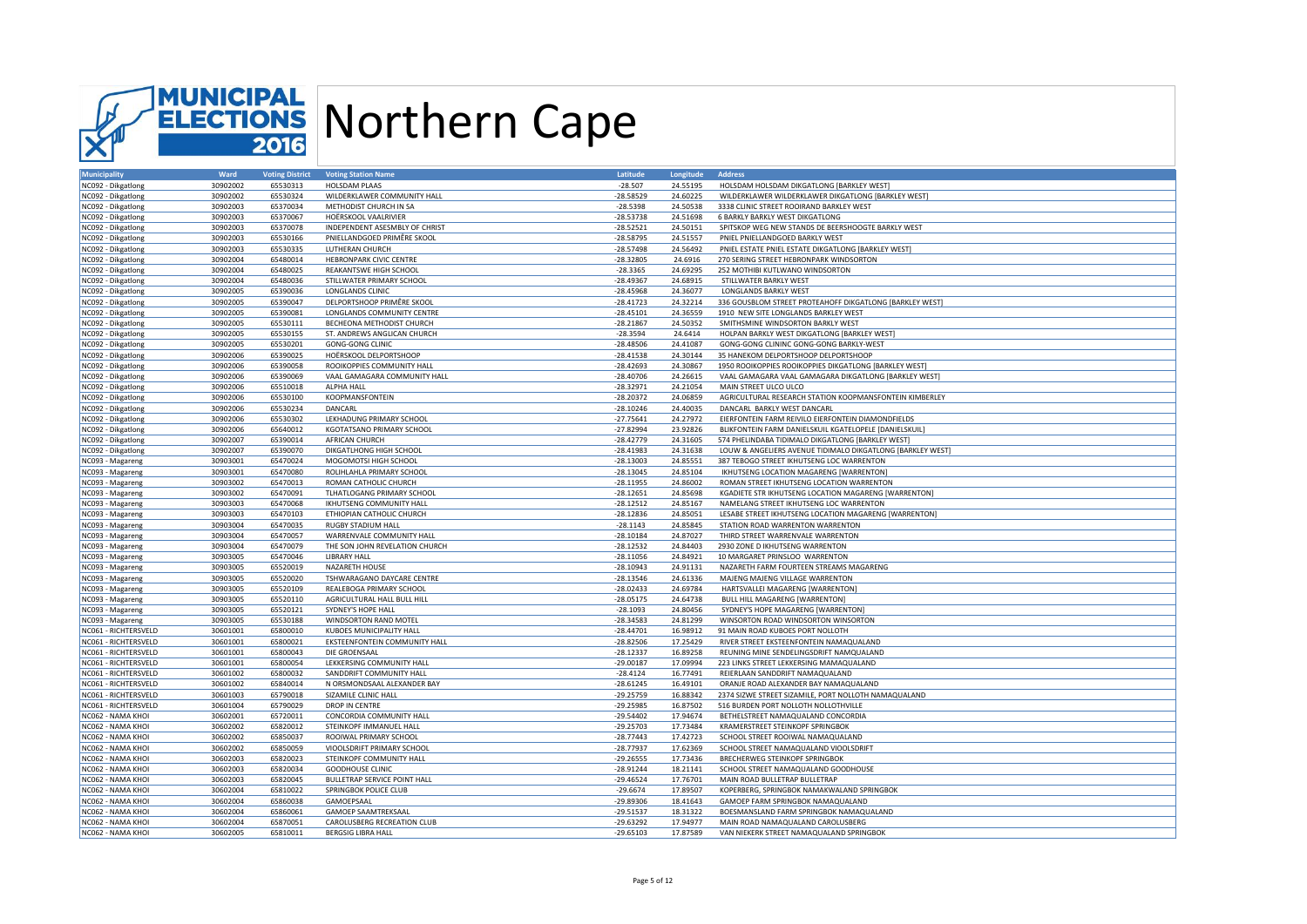

| <b>Municipality</b>  | Ward     | <b>Voting District</b> | <b>Voting Station Name</b>      | Latitude    | Longitude | <b>Address</b>                                             |
|----------------------|----------|------------------------|---------------------------------|-------------|-----------|------------------------------------------------------------|
| NC092 - Dikgatlong   | 30902002 | 65530313               | HOLSDAM PLAAS                   | $-28.507$   | 24.55195  | HOLSDAM HOLSDAM DIKGATLONG [BARKLEY WEST]                  |
| NC092 - Dikgation    | 30902002 | 65530324               | WILDERKLAWER COMMUNITY HALL     | $-28.58529$ | 24.60225  | WILDERKLAWER WILDERKLAWER DIKGATLONG [BARKLEY WEST]        |
| NC092 - Dikgatlong   | 30902003 | 65370034               | METHODIST CHURCH IN SA          | $-28.5398$  | 24.50538  | 3338 CLINIC STREET ROOIRAND BARKLEY WEST                   |
| NC092 - Dikgatlong   | 30902003 | 65370067               | HOËRSKOOL VAALRIVIER            | $-28.53738$ | 24.51698  | 6 BARKLY BARKLY WEST DIKGATLONG                            |
| NC092 - Dikgatlong   | 30902003 | 65370078               | INDEPENDENT ASESMBLY OF CHRIST  | $-28.52521$ | 24.50151  | SPITSKOP WEG NEW STANDS DE BEERSHOOGTE BARKLY WEST         |
|                      | 30902003 | 65530166               | PNIELLANDGOED PRIMÊRE SKOOL     | $-28.58795$ | 24.51557  | PNIEL PNIELLANDGOED BARKLY WEST                            |
| NC092 - Dikgatlong   |          |                        |                                 |             |           |                                                            |
| NC092 - Dikgatlong   | 30902003 | 65530335               | LUTHERAN CHURCH                 | $-28.57498$ | 24.56492  | PNIEL ESTATE PNIEL ESTATE DIKGATLONG [BARKLEY WEST]        |
| NC092 - Dikgatlong   | 30902004 | 65480014               | <b>HEBRONPARK CIVIC CENTRE</b>  | $-28.32805$ | 24.6916   | 270 SERING STREET HEBRONPARK WINDSORTON                    |
| NC092 - Dikgatlong   | 30902004 | 65480025               | REAKANTSWE HIGH SCHOOL          | $-28.3365$  | 24.69295  | 252 MOTHIBI KUTLWANO WINDSORTON                            |
| NC092 - Dikgatlong   | 30902004 | 65480036               | STILLWATER PRIMARY SCHOOL       | $-28.49367$ | 24.68915  | STILLWATER BARKLY WEST                                     |
| NC092 - Dikgatlong   | 30902005 | 65390036               | LONGLANDS CLINIC                | $-28.45968$ | 24.36077  | <b>LONGLANDS BARKLY WEST</b>                               |
| NC092 - Dikgatlong   | 30902005 | 65390047               | DELPORTSHOOP PRIMÊRE SKOOL      | $-28.41723$ | 24.32214  | 336 GOUSBLOM STREET PROTEAHOFF DIKGATLONG [BARKLEY WEST]   |
| NC092 - Dikgatlong   | 30902005 | 65390081               | LONGLANDS COMMUNITY CENTRE      | $-28.45101$ | 24.36559  | 1910 NEW SITE LONGLANDS BARKLEY WEST                       |
| NC092 - Dikgatlong   | 30902005 | 65530111               | BECHEONA METHODIST CHURCH       | $-28.21867$ | 24.50352  | SMITHSMINE WINDSORTON BARKLY WEST                          |
| NC092 - Dikgatlong   | 30902005 | 65530155               | ST. ANDREWS ANGLICAN CHURCH     | $-28.3594$  | 24.6414   | HOLPAN BARKLY WEST DIKGATLONG [BARKLEY WEST]               |
| NC092 - Dikgatlong   | 30902005 | 65530201               | <b>GONG-GONG CLINIC</b>         | $-28.48506$ | 24.41087  | GONG-GONG CLININC GONG-GONG BARKLY-WEST                    |
| NC092 - Dikgatlong   | 30902006 | 65390025               | HOËRSKOOL DELPORTSHOOP          | $-28.41538$ | 24.30144  | 35 HANEKOM DELPORTSHOOP DELPORTSHOOP                       |
| NC092 - Dikgatlong   | 30902006 | 65390058               | ROOIKOPPIES COMMUNITY HALL      | $-28.42693$ | 24.30867  | 1950 ROOIKOPPIES ROOIKOPPIES DIKGATLONG [BARKLEY WEST]     |
| NC092 - Dikgatlong   | 30902006 | 65390069               | VAAL GAMAGARA COMMUNITY HALL    | $-28.40706$ | 24.26615  | VAAL GAMAGARA VAAL GAMAGARA DIKGATLONG [BARKLEY WEST]      |
|                      |          | 65510018               |                                 | $-28.32971$ | 24.21054  |                                                            |
| NC092 - Dikgatlong   | 30902006 |                        | ALPHA HALL                      |             |           | MAIN STREET ULCO ULCO                                      |
| NC092 - Dikgatlong   | 30902006 | 65530100               | KOOPMANSFONTEIN                 | $-28.20372$ | 24.06859  | AGRICULTURAL RESEARCH STATION KOOPMANSFONTEIN KIMBERLEY    |
| NC092 - Dikgatlong   | 30902006 | 65530234               | DANCARL                         | $-28.10246$ | 24.40035  | DANCARL BARKLY WEST DANCARL                                |
| NC092 - Dikgatlong   | 30902006 | 65530302               | LEKHADUNG PRIMARY SCHOOL        | $-27.75641$ | 24.27972  | EIERFONTEIN FARM REIVILO EIERFONTEIN DIAMONDFIELDS         |
| NC092 - Dikgatlong   | 30902006 | 65640012               | KGOTATSANO PRIMARY SCHOOL       | $-27.82994$ | 23.92826  | BLIKFONTEIN FARM DANIELSKUIL KGATELOPELE [DANIELSKUIL]     |
| NC092 - Dikgatlong   | 30902007 | 65390014               | <b>AFRICAN CHURCH</b>           | $-28.42779$ | 24.31605  | 574 PHELINDABA TIDIMALO DIKGATLONG [BARKLEY WEST]          |
| NC092 - Dikgatlong   | 30902007 | 65390070               | DIKGATLHONG HIGH SCHOOL         | $-28.41983$ | 24.31638  | LOUW & ANGELIERS AVENUE TIDIMALO DIKGATLONG [BARKLEY WEST] |
| NC093 - Magareng     | 30903001 | 65470024               | MOGOMOTSI HIGH SCHOOL           | $-28.13003$ | 24.85551  | 387 TEBOGO STREET IKHUTSENG LOC WARRENTON                  |
| NC093 - Magareng     | 30903001 | 65470080               | ROLIHLAHLA PRIMARY SCHOOL       | $-28.13045$ | 24.85104  | IKHUTSENG LOCATION MAGARENG [WARRENTON]                    |
| NC093 - Magareng     | 30903002 | 65470013               | ROMAN CATHOLIC CHURCH           | $-28.11955$ | 24.86002  | ROMAN STREET IKHUTSENG LOCATION WARRENTON                  |
| NC093 - Magareng     | 30903002 | 65470091               | TLHATLOGANG PRIMARY SCHOOL      | $-28.12651$ | 24.85698  | KGADIETE STR IKHUTSENG LOCATION MAGARENG [WARRENTON]       |
| NC093 - Magareng     | 30903003 | 65470068               | <b>IKHUTSENG COMMUNITY HALL</b> | $-28.12512$ | 24.85167  | NAMELANG STREET IKHUTSENG LOC WARRENTON                    |
|                      | 30903003 | 65470103               | ETHIOPIAN CATHOLIC CHURCH       | $-28.12836$ | 24.85051  | LESABE STREET IKHUTSENG LOCATION MAGARENG [WARRENTON]      |
| NC093 - Magareng     |          |                        |                                 |             |           |                                                            |
| NC093 - Magareng     | 30903004 | 65470035               | <b>RUGBY STADIUM HALL</b>       | $-28.1143$  | 24.85845  | STATION ROAD WARRENTON WARRENTON                           |
| NC093 - Magareng     | 30903004 | 65470057               | WARRENVALE COMMUNITY HALL       | $-28.10184$ | 24.87027  | THIRD STREET WARRENVALE WARRENTON                          |
| NC093 - Magareng     | 30903004 | 65470079               | THE SON JOHN REVELATION CHURCH  | $-28.12532$ | 24.84403  | 2930 ZONE D IKHUTSENG WARRENTON                            |
| NC093 - Magareng     | 30903005 | 65470046               | <b>LIBRARY HALL</b>             | $-28.11056$ | 24.84921  | 10 MARGARET PRINSLOO WARRENTON                             |
| NC093 - Magareng     | 30903005 | 65520019               | NAZARETH HOUSE                  | $-28.10943$ | 24.91131  | NAZARETH FARM FOURTEEN STREAMS MAGARENG                    |
| NC093 - Magareng     | 30903005 | 65520020               | TSHWARAGANO DAYCARE CENTRE      | $-28.13546$ | 24.61336  | MAJENG MAJENG VILLAGE WARRENTON                            |
| NC093 - Magareng     | 30903005 | 65520109               | REALEBOGA PRIMARY SCHOOL        | $-28.02433$ | 24.69784  | HARTSVALLEI MAGARENG [WARRENTON]                           |
| NC093 - Magareng     | 30903005 | 65520110               | AGRICULTURAL HALL BULL HILL     | $-28.05175$ | 24.64738  | <b>BULL HILL MAGARENG [WARRENTON]</b>                      |
| NC093 - Magareng     | 30903005 | 65520121               | SYDNEY'S HOPE HALL              | $-28.1093$  | 24.80456  | SYDNEY'S HOPE MAGARENG [WARRENTON                          |
| NC093 - Magareng     | 30903005 | 65530188               | WINDSORTON RAND MOTEL           | $-28.34583$ | 24.81299  | WINSORTON ROAD WINDSORTON WINSORTON                        |
| NC061 - RICHTERSVELD | 30601001 | 65800010               | KUBOES MUNICIPALITY HALL        | $-28.44701$ | 16.98912  | 91 MAIN ROAD KUBOES PORT NOLLOTH                           |
| NC061 - RICHTERSVELD | 30601001 | 65800021               | EKSTEENFONTEIN COMMUNITY HALL   | $-28.82506$ | 17.25429  | RIVER STREET EKSTEENFONTEIN NAMAQUALAND                    |
| NC061 - RICHTERSVELD | 30601001 | 65800043               | DIE GROENSAAL                   | $-28.12337$ | 16.89258  | REUNING MINE SENDELINGSDRIFT NAMOUALAND                    |
| NC061 - RICHTERSVELD | 30601001 | 65800054               | LEKKERSING COMMUNITY HALL       | $-29.00187$ | 17.09994  | 223 LINKS STREET LEKKERSING MAMAQUALAND                    |
| NC061 - RICHTERSVELD | 30601002 | 65800032               | SANDDRIFT COMMUNITY HALL        |             | 16.77491  | REIERLAAN SANDDRIFT NAMAQUALAND                            |
|                      |          |                        |                                 | $-28.4124$  |           |                                                            |
| NC061 - RICHTERSVELD | 30601002 | 65840014               | N ORSMONDSAAL ALEXANDER BAY     | $-28.61245$ | 16.49101  | ORANJE ROAD ALEXANDER BAY NAMAQUALAND                      |
| NC061 - RICHTERSVELD | 30601003 | 65790018               | SIZAMILE CLINIC HALL            | $-29.25759$ | 16.88342  | 2374 SIZWE STREET SIZAMILE, PORT NOLLOTH NAMAQUALAND       |
| NC061 - RICHTERSVELD | 30601004 | 65790029               | DROP IN CENTRE                  | $-29.25985$ | 16.87502  | 516 BURDEN PORT NOLLOTH NOLLOTHVILLE                       |
| NC062 - NAMA KHOI    | 30602001 | 65720011               | CONCORDIA COMMUNITY HALL        | $-29.54402$ | 17.94674  | BETHELSTREET NAMAQUALAND CONCORDIA                         |
| NC062 - NAMA KHOI    | 30602002 | 65820012               | STEINKOPF IMMANUEL HALL         | $-29.25703$ | 17.73484  | KRAMERSTREET STEINKOPF SPRINGBOK                           |
| NC062 - NAMA KHOI    | 30602002 | 65850037               | ROOIWAL PRIMARY SCHOOL          | $-28.77443$ | 17.42723  | SCHOOL STREET ROOIWAL NAMAQUALAND                          |
| NC062 - NAMA KHOI    | 30602002 | 65850059               | VIOOLSDRIFT PRIMARY SCHOOL      | $-28.77937$ | 17.62369  | SCHOOL STREET NAMAQUALAND VIOOLSDRIFT                      |
| NC062 - NAMA KHOI    | 30602003 | 65820023               | STEINKOPF COMMUNITY HALL        | $-29.26555$ | 17.73436  | BRECHERWEG STEINKOPF SPRINGBOK                             |
| NC062 - NAMA KHOI    | 30602003 | 65820034               | <b>GOODHOUSE CLINIC</b>         | $-28.91244$ | 18.21141  | SCHOOL STREET NAMAQUALAND GOODHOUSE                        |
| NC062 - NAMA KHOI    | 30602003 | 65820045               | BULLETRAP SERVICE POINT HALL    | $-29.46524$ | 17.76701  | MAIN ROAD BULLETRAP BULLETRAP                              |
| NC062 - NAMA KHOI    | 30602004 | 65810022               | SPRINGBOK POLICE CLUB           | $-29.6674$  | 17.89507  | KOPERBERG, SPRINGBOK NAMAKWALAND SPRINGBOK                 |
| NC062 - NAMA KHOI    | 30602004 | 65860038               | GAMOEPSAAL                      | $-29.89306$ | 18.41643  | GAMOEP FARM SPRINGBOK NAMAQUALAND                          |
| NC062 - NAMA KHOI    | 30602004 | 65860061               | <b>GAMOEP SAAMTREKSAAL</b>      | $-29.51537$ | 18.31322  | BOESMANSLAND FARM SPRINGBOK NAMAQUALAND                    |
| NC062 - NAMA KHOI    | 30602004 | 65870051               | CAROLUSBERG RECREATION CLUB     | $-29.63292$ | 17.94977  | MAIN ROAD NAMAQUALAND CAROLUSBERG                          |
|                      |          |                        |                                 |             |           |                                                            |
| NC062 - NAMA KHOI    | 30602005 | 65810011               | <b>BERGSIG LIBRA HALL</b>       | $-29.65103$ | 17.87589  | VAN NIEKERK STREET NAMAQUALAND SPRINGBOK                   |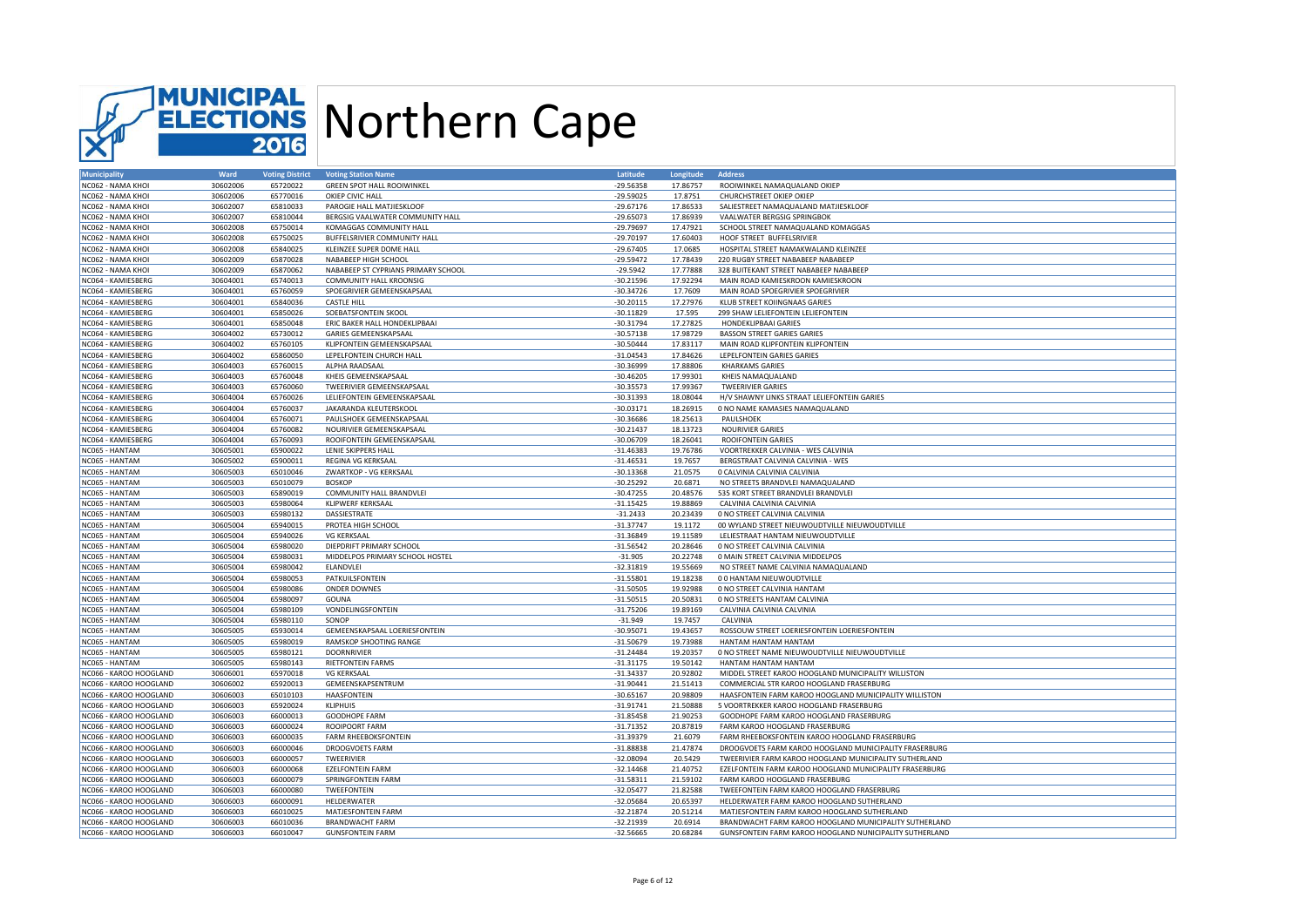

| <b>Municipality</b>                      | Ward                 | <b>Voting District</b> | <b>Voting Station Name</b>                     | Latitude                   | Longitude            | <b>Address</b>                                                                     |
|------------------------------------------|----------------------|------------------------|------------------------------------------------|----------------------------|----------------------|------------------------------------------------------------------------------------|
| NC062 - NAMA KHOI                        | 30602006             | 65720022               | <b>GREEN SPOT HALL ROOIWINKEL</b>              | $-29.56358$                | 17.86757             | ROOIWINKEL NAMAQUALAND OKIEP                                                       |
| NC062 - NAMA KHOI                        | 30602006             | 65770016               | OKIEP CIVIC HALL                               | $-29.59025$                | 17.8751              | CHURCHSTREET OKIEP OKIEP                                                           |
| NC062 - NAMA KHOI                        | 30602007             | 65810033               | PAROGIE HALL MATJIESKLOOF                      | $-29.67176$                | 17.86533             | SALIESTREET NAMAQUALAND MATJIESKLOOF                                               |
| NC062 - NAMA KHOI                        | 30602007             | 65810044               | BERGSIG VAALWATER COMMUNITY HALL               | $-29.65073$                | 17.86939             | VAALWATER BERGSIG SPRINGBOK                                                        |
| NC062 - NAMA KHOI                        | 30602008             | 65750014               | KOMAGGAS COMMUNITY HALL                        | $-29.79697$                | 17.47921             | SCHOOL STREET NAMAQUALAND KOMAGGAS                                                 |
| NC062 - NAMA KHOI                        | 30602008             | 65750025               | BUFFELSRIVIER COMMUNITY HALL                   | $-29.70197$                | 17.60403             | HOOF STREET BUFFELSRIVIER                                                          |
| NC062 - NAMA KHOI                        | 30602008             | 65840025               | KLEINZEE SUPER DOME HALL                       | $-29.67405$                | 17.0685              | HOSPITAL STREET NAMAKWALAND KLEINZEE                                               |
| NC062 - NAMA KHOI                        | 30602009             | 65870028               | NABABEEP HIGH SCHOOL                           | $-29.59472$                | 17.78439             | 220 RUGBY STREET NABABEEP NABABEEP                                                 |
| NC062 - NAMA KHOI                        | 30602009             | 65870062               | NABABEEP ST CYPRIANS PRIMARY SCHOOL            | $-29.5942$                 | 17.77888             | 328 BUITEKANT STREET NABABEEP NABABEEP                                             |
| NC064 - KAMIESBERG                       | 30604001             | 65740013               | <b>COMMUNITY HALL KROONSIG</b>                 | $-30.21596$                | 17.92294             | MAIN ROAD KAMIESKROON KAMIESKROON                                                  |
| NC064 - KAMIESBERG                       | 30604001             | 65760059               | SPOEGRIVIER GEMEENSKAPSAAL                     | $-30.34726$                | 17.7609              | MAIN ROAD SPOEGRIVIER SPOEGRIVIER                                                  |
| NC064 - KAMIESBERG                       | 30604001             | 65840036               | <b>CASTLE HILL</b>                             | $-30.20115$                | 17.27976             | KLUB STREET KOIINGNAAS GARIES                                                      |
| NC064 - KAMIESBERG                       | 30604001             | 65850026               | SOEBATSFONTEIN SKOOL                           | $-30.11829$                | 17.595               | 299 SHAW LELIEFONTEIN LELIEFONTEIN                                                 |
| NC064 - KAMIESBERG                       | 30604001             | 65850048               | ERIC BAKER HALL HONDEKLIPBAAI                  | $-30.31794$                | 17.27825             | HONDEKLIPBAAI GARIES                                                               |
| NC064 - KAMIESBERG                       | 30604002             | 65730012               | GARIES GEMEENSKAPSAAL                          | $-30.57138$                | 17.98729             | <b>BASSON STREET GARIES GARIES</b>                                                 |
| NC064 - KAMIESBERG                       | 30604002             | 65760105               | KLIPFONTEIN GEMEENSKAPSAAL                     | $-30.50444$                | 17.83117             | MAIN ROAD KLIPFONTEIN KLIPFONTEIN                                                  |
| NC064 - KAMIESBERG                       | 30604002             | 65860050               | LEPELFONTEIN CHURCH HALL                       | $-31.04543$                | 17.84626             | LEPELFONTEIN GARIES GARIES                                                         |
| NC064 - KAMIESBERG                       | 30604003             | 65760015               | ALPHA RAADSAAL                                 | $-30.36999$                | 17.88806             | <b>KHARKAMS GARIES</b>                                                             |
| NC064 - KAMIESBERG                       | 30604003             | 65760048               | KHEIS GEMEENSKAPSAAL                           | $-30.46205$                | 17.99301             | KHEIS NAMAQUALAND                                                                  |
| NC064 - KAMIESBERG                       | 30604003             | 65760060               | TWEERIVIER GEMEENSKAPSAAL                      | $-30.35573$                | 17.99367             | <b>TWEERIVIER GARIES</b>                                                           |
| NC064 - KAMIESBERG                       | 30604004             | 65760026               | LELIEFONTEIN GEMEENSKAPSAAL                    | $-30.31393$                | 18.08044             | H/V SHAWNY LINKS STRAAT LELIEFONTEIN GARIES                                        |
| NC064 - KAMIESBERG                       | 30604004             | 65760037               | JAKARANDA KLEUTERSKOOL                         | $-30.03171$                | 18.26915             | 0 NO NAME KAMASIES NAMAQUALAND                                                     |
| NC064 - KAMIESBERG                       | 30604004             | 65760071               | PAULSHOEK GEMEENSKAPSAAL                       | $-30.36686$                | 18.25613             | PAULSHOEK                                                                          |
| NC064 - KAMIESBERG                       | 30604004             | 65760082               | NOURIVIER GEMEENSKAPSAAL                       | $-30.21437$                | 18.13723             | <b>NOURIVIER GARIES</b>                                                            |
| NC064 - KAMIESBERG                       | 30604004             | 65760093               | ROOIFONTEIN GEMEENSKAPSAAL                     | $-30.06709$                | 18.26041             | <b>ROOIFONTEIN GARIES</b>                                                          |
| NC065 - HANTAM                           | 30605001             | 65900022               | LENIE SKIPPERS HALL                            | $-31.46383$                | 19.76786             | VOORTREKKER CALVINIA - WES CALVINIA                                                |
| NC065 - HANTAM                           | 30605002             | 65900011               | REGINA VG KERKSAAL                             | $-31.46531$                | 19.7657              | BERGSTRAAT CALVINIA CALVINIA - WES                                                 |
| NC065 - HANTAM                           | 30605003             | 65010046               | ZWARTKOP - VG KERKSAAL                         | $-30.13368$                | 21.0575              | 0 CALVINIA CALVINIA CALVINIA                                                       |
| NC065 - HANTAM                           | 30605003             | 65010079               | <b>BOSKOP</b>                                  | $-30.25292$                | 20.6871              | NO STREETS BRANDVLEI NAMAQUALAND                                                   |
| NC065 - HANTAM                           | 30605003             | 65890019               | COMMUNITY HALL BRANDVLEI                       | $-30.47255$                | 20.48576             | 535 KORT STREET BRANDVLEI BRANDVLEI                                                |
| NC065 - HANTAM                           | 30605003             | 65980064               | <b>KLIPWERF KERKSAAL</b>                       | $-31.15425$                | 19.88869             | CALVINIA CALVINIA CALVINIA                                                         |
| NC065 - HANTAM                           | 30605003             | 65980132               | DASSIESTRATE                                   | $-31.2433$                 | 20.23439             | 0 NO STREET CALVINIA CALVINIA                                                      |
| NC065 - HANTAM                           | 30605004             | 65940015               | PROTEA HIGH SCHOOL                             | $-31.37747$                | 19.1172              | 00 WYLAND STREET NIEUWOUDTVILLE NIEUWOUDTVILLE                                     |
| NC065 - HANTAM                           | 30605004             | 65940026               | <b>VG KERKSAAL</b>                             | $-31.36849$                | 19.11589             | LELIESTRAAT HANTAM NIEUWOUDTVILLE                                                  |
| NC065 - HANTAM                           | 30605004             | 65980020               | DIEPDRIFT PRIMARY SCHOOL                       | $-31.56542$                | 20.28646             | 0 NO STREET CALVINIA CALVINIA                                                      |
| NC065 - HANTAM                           | 30605004             | 65980031               | MIDDELPOS PRIMARY SCHOOL HOSTEL                | $-31.905$                  | 20.22748             | 0 MAIN STREET CALVINIA MIDDELPOS                                                   |
| NC065 - HANTAM                           | 30605004             | 65980042               | ELANDVLEI                                      | $-32.31819$                | 19.55669             | NO STREET NAME CALVINIA NAMAQUALAND                                                |
| NC065 - HANTAM                           | 30605004             | 65980053               | PATKUILSFONTEIN                                | $-31.55801$                | 19.18238             | 00 HANTAM NIEUWOUDTVILLE                                                           |
| NC065 - HANTAM                           | 30605004             | 65980086               | <b>ONDER DOWNES</b>                            | $-31.50505$                | 19.92988             | 0 NO STREET CALVINIA HANTAM                                                        |
| NC065 - HANTAM                           | 30605004             | 65980097               | GOUNA                                          | $-31.50515$                | 20.50831             | 0 NO STREETS HANTAM CALVINIA                                                       |
| NC065 - HANTAM                           | 30605004             | 65980109               | VONDELINGSFONTEIN                              | $-31.75206$                | 19.89169             | CALVINIA CALVINIA CALVINIA                                                         |
| NC065 - HANTAM                           | 30605004             | 65980110               | SONOP                                          | $-31.949$                  | 19.7457              | CALVINIA                                                                           |
| NC065 - HANTAM                           | 30605005             | 65930014               | GEMEENSKAPSAAL LOERIESFONTEIN                  | $-30.95071$                | 19.43657             | ROSSOUW STREET LOERIESFONTEIN LOERIESFONTEIN                                       |
| NC065 - HANTAM                           | 30605005             | 65980019               | RAMSKOP SHOOTING RANGE                         | $-31.50679$                | 19.73988             | HANTAM HANTAM HANTAM                                                               |
| NC065 - HANTAM                           | 30605005             | 65980121               | <b>DOORNRIVIER</b>                             | $-31.24484$                | 19.20357             | 0 NO STREET NAME NIEUWOUDTVILLE NIEUWOUDTVILLE                                     |
|                                          | 30605005             |                        |                                                |                            | 19.50142             |                                                                                    |
| NC065 - HANTAM<br>NC066 - KAROO HOOGLAND | 30606001             | 65980143<br>65970018   | <b>RIETFONTEIN FARMS</b><br><b>VG KERKSAAL</b> | $-31.31175$<br>$-31.34337$ | 20.92802             | HANTAM HANTAM HANTAM<br>MIDDEL STREET KAROO HOOGLAND MUNICIPALITY WILLISTON        |
| NC066 - KAROO HOOGLAND                   |                      |                        |                                                |                            |                      | COMMERCIAL STR KAROO HOOGLAND FRASERBURG                                           |
| NC066 - KAROO HOOGLAND                   | 30606002             | 65920013               | GEMEENSKAPSENTRUM<br>HAASFONTEIN               | $-31.90441$                | 21.51413<br>20.98809 | HAASFONTEIN FARM KAROO HOOGLAND MUNICIPALITY WILLISTON                             |
|                                          | 30606003             | 65010103               |                                                | $-30.65167$                |                      |                                                                                    |
| NC066 - KAROO HOOGLAND                   | 30606003<br>30606003 | 65920024               | KLIPHUIS                                       | $-31.91741$                | 21.50888             | 5 VOORTREKKER KAROO HOOGLAND FRASERBURG<br>GOODHOPE FARM KAROO HOOGLAND FRASERBURG |
| NC066 - KAROO HOOGLAND                   |                      | 66000013               | GOODHOPE FARM                                  | $-31.85458$                | 21.90253             |                                                                                    |
| NC066 - KAROO HOOGLAND                   | 30606003             | 66000024               | <b>ROOIPOORT FARM</b>                          | $-31.71352$                | 20.87819             | FARM KAROO HOOGLAND FRASERBURG                                                     |
| NC066 - KAROO HOOGLAND                   | 30606003             | 66000035               | <b>FARM RHEEBOKSFONTEIN</b>                    | $-31.39379$                | 21.6079              | FARM RHEEBOKSFONTEIN KAROO HOOGLAND FRASERBURG                                     |
| NC066 - KAROO HOOGLAND                   | 30606003             | 66000046               | DROOGVOETS FARM                                | $-31.88838$                | 21.47874             | DROOGVOETS FARM KAROO HOOGLAND MUNICIPALITY FRASERBURG                             |
| NC066 - KAROO HOOGLAND                   | 30606003             | 66000057               | TWEERIVIER                                     | $-32.08094$                | 20.5429              | TWEERIVIER FARM KAROO HOOGLAND MUNICIPALITY SUTHERLAND                             |
| NC066 - KAROO HOOGLAND                   | 30606003             | 66000068               | <b>EZELFONTEIN FARM</b>                        | $-32.14468$                | 21.40752             | EZELFONTEIN FARM KAROO HOOGLAND MUNICIPALITY FRASERBURG                            |
| NC066 - KAROO HOOGLAND                   | 30606003             | 66000079               | SPRINGFONTEIN FARM                             | $-31.58311$                | 21.59102             | FARM KAROO HOOGLAND FRASERBURG                                                     |
| NC066 - KAROO HOOGLAND                   | 30606003             | 66000080               | TWEEFONTEIN                                    | $-32.05477$                | 21.82588             | TWEEFONTEIN FARM KAROO HOOGLAND FRASERBURG                                         |
| NC066 - KAROO HOOGLAND                   | 30606003             | 66000091               | HELDERWATER                                    | $-32.05684$                | 20.65397             | HELDERWATER FARM KAROO HOOGLAND SUTHERLAND                                         |
| NC066 - KAROO HOOGLAND                   | 30606003             | 66010025               | MATJESFONTEIN FARM                             | $-32.21874$                | 20.51214             | MATJESFONTEIN FARM KAROO HOOGLAND SUTHERLAND                                       |
| NC066 - KAROO HOOGLAND                   | 30606003             | 66010036               | <b>BRANDWACHT FARM</b>                         | $-32.21939$                | 20.6914              | BRANDWACHT FARM KAROO HOOGLAND MUNICIPALITY SUTHERLAND                             |
| NC066 - KAROO HOOGLAND                   | 30606003             | 66010047               | <b>GUNSFONTEIN FARM</b>                        | $-32.56665$                | 20.68284             | GUNSFONTEIN FARM KAROO HOOGLAND NUNICIPALITY SUTHERLAND                            |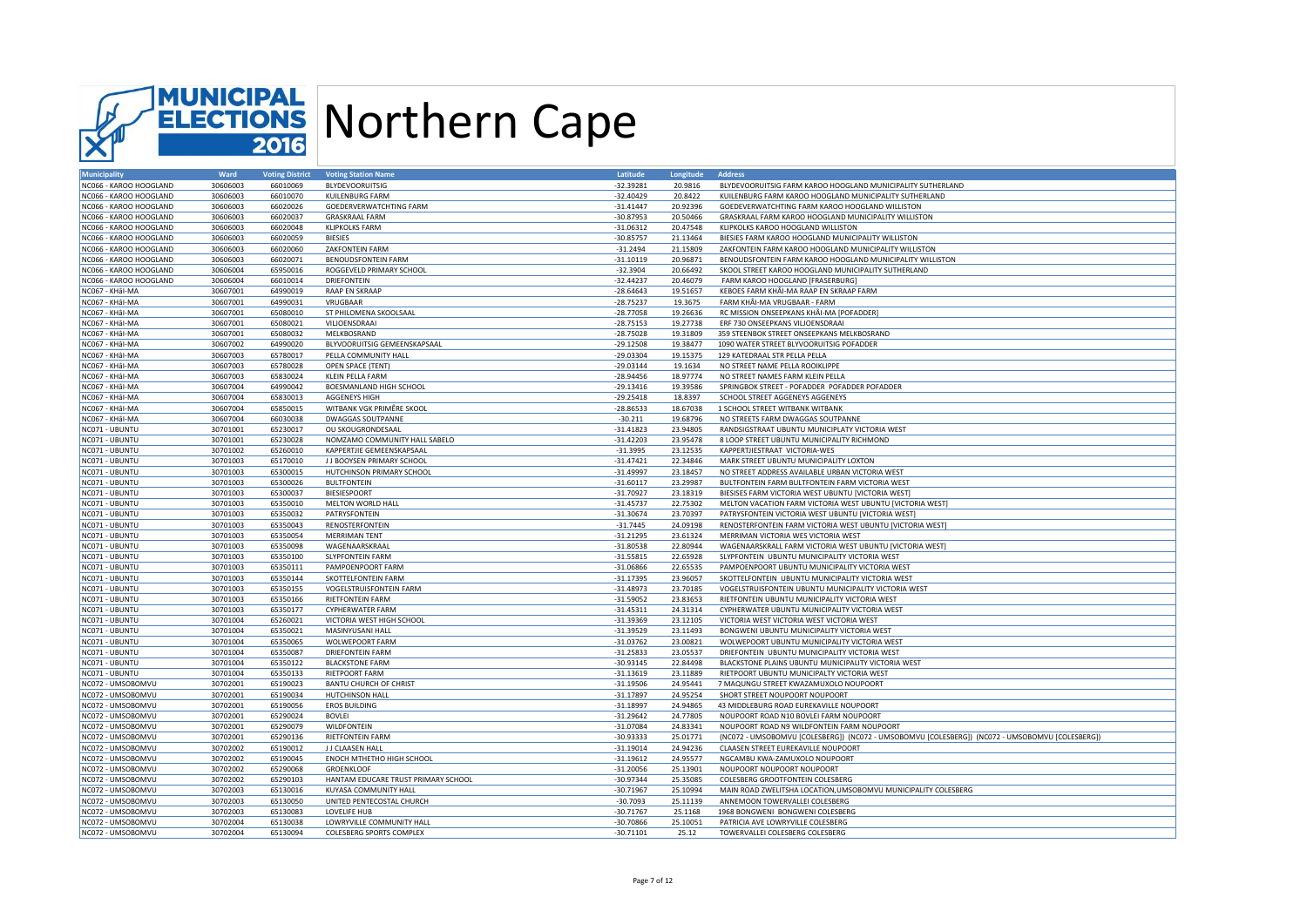

| <b>Municipality</b>    | Ward     | <b>Voting District</b> | <b>Voting Station Name</b>          | Latitude    | Longitude | <b>Address</b>                                                                                  |
|------------------------|----------|------------------------|-------------------------------------|-------------|-----------|-------------------------------------------------------------------------------------------------|
| NC066 - KAROO HOOGLAND | 30606003 | 66010069               | <b>BLYDEVOORUITSIG</b>              | $-32.39281$ | 20.9816   | BLYDEVOORUITSIG FARM KAROO HOOGLAND MUNICIPALITY SUTHERLAND                                     |
| NC066 - KAROO HOOGLAND | 30606003 | 66010070               | <b>KUILENBURG FARM</b>              | $-32.40429$ | 20.8422   | KUILENBURG FARM KAROO HOOGLAND MUNICIPALITY SUTHERLAND                                          |
| NC066 - KAROO HOOGLAND | 30606003 | 66020026               | GOEDERVERWATCHTING FARM             | $-31.41447$ | 20.92396  | GOEDEVERWATCHTING FARM KAROO HOOGLAND WILLISTON                                                 |
| NC066 - KAROO HOOGLAND | 30606003 | 66020037               | <b>GRASKRAAL FARM</b>               | $-30.87953$ | 20.50466  | GRASKRAAL FARM KAROO HOOGLAND MUNICIPALITY WILLISTON                                            |
| NC066 - KAROO HOOGLAND | 30606003 | 66020048               | <b>KLIPKOLKS FARM</b>               | $-31.06312$ | 20.47548  | KLIPKOLKS KAROO HOOGLAND WILLISTON                                                              |
| NC066 - KAROO HOOGLAND | 30606003 | 66020059               | <b>BIESIES</b>                      | $-30.85757$ | 21.13464  | BIESIES FARM KAROO HOOGLAND MUNICIPALITY WILLISTON                                              |
| NC066 - KAROO HOOGLAND | 30606003 | 66020060               | ZAKFONTEIN FARM                     | $-31.2494$  | 21.15809  | ZAKFONTEIN FARM KAROO HOOGLAND MUNICIPALITY WILLISTON                                           |
| NC066 - KAROO HOOGLAND | 30606003 | 66020071               | <b>BENOUDSFONTEIN FARM</b>          | $-31.10119$ | 20.96871  | BENOUDSFONTEIN FARM KAROO HOOGLAND MUNICIPALITY WILLISTON                                       |
| NC066 - KAROO HOOGLAND | 30606004 | 65950016               | ROGGEVELD PRIMARY SCHOOL            | $-32.3904$  | 20.66492  | SKOOL STREET KAROO HOOGLAND MUNICIPALITY SUTHERLAND                                             |
| NC066 - KAROO HOOGLAND | 30606004 | 66010014               | <b>DRIEFONTEIN</b>                  | $-32.44237$ | 20.46079  | FARM KAROO HOOGLAND [FRASERBURG]                                                                |
| NC067 - KHâl-MA        | 30607001 | 64990019               | RAAP EN SKRAAP                      | $-28.64643$ | 19.51657  | KEBOES FARM KHÂI-MA RAAP EN SKRAAP FARM                                                         |
| NC067 - KHÂI-MA        | 30607001 | 64990031               | VRUGBAAR                            | $-28.75237$ | 19.3675   | FARM KHÂI-MA VRUGBAAR - FARM                                                                    |
| NC067 - KHÂI-MA        | 30607001 | 65080010               | ST PHILOMENA SKOOLSAAL              | $-28.77058$ | 19.26636  | RC MISSION ONSEEPKANS KHÂI-MA [POFADDER]                                                        |
|                        |          |                        |                                     |             |           |                                                                                                 |
| NC067 - KHâl-MA        | 30607001 | 65080021               | VILJOENSDRAAI                       | $-28.75153$ | 19.27738  | ERF 730 ONSEEPKANS VILJOENSDRAAI                                                                |
| NC067 - KHÂI-MA        | 30607001 | 65080032               | MELKBOSRAND                         | $-28.75028$ | 19.31809  | 359 STEENBOK STREET ONSEEPKANS MELKBOSRAND                                                      |
| NC067 - KHâl-MA        | 30607002 | 64990020               | BLYVOORUITSIG GEMEENSKAPSAAL        | $-29.12508$ | 19.38477  | 1090 WATER STREET BLYVOORUITSIG POFADDER                                                        |
| NC067 - KHâl-MA        | 30607003 | 65780017               | PELLA COMMUNITY HALL                | $-29.03304$ | 19.15375  | 129 KATEDRAAL STR PELLA PELLA                                                                   |
| NC067 - KHÂI-MA        | 30607003 | 65780028               | OPEN SPACE (TENT)                   | $-29.03144$ | 19.1634   | NO STREET NAME PELLA ROOIKLIPPE                                                                 |
| NC067 - KHÂI-MA        | 30607003 | 65830024               | <b>KLEIN PELLA FARM</b>             | $-28.94456$ | 18.97774  | NO STREET NAMES FARM KLEIN PELLA                                                                |
| NC067 - KHâl-MA        | 30607004 | 64990042               | BOESMANLAND HIGH SCHOOL             | $-29.13416$ | 19.39586  | SPRINGBOK STREET - POFADDER POFADDER POFADDER                                                   |
| NC067 - KHâl-MA        | 30607004 | 65830013               | <b>AGGENEYS HIGH</b>                | $-29.25418$ | 18.8397   | SCHOOL STREET AGGENEYS AGGENEYS                                                                 |
| NC067 - KHâl-MA        | 30607004 | 65850015               | WITBANK VGK PRIMÊRE SKOOL           | $-28.86533$ | 18.67038  | 1 SCHOOL STREET WITBANK WITBANK                                                                 |
| NC067 - KHâl-MA        | 30607004 | 66030038               | <b>DWAGGAS SOUTPANNE</b>            | $-30.211$   | 19.68796  | NO STREETS FARM DWAGGAS SOUTPANNE                                                               |
| NC071 - UBUNTU         | 30701001 | 65230017               | OU SKOUGRONDESAAL                   | $-31.41823$ | 23.94805  | RANDSIGSTRAAT UBUNTU MUNICIPLATY VICTORIA WEST                                                  |
| NC071 - UBUNTU         | 30701001 | 65230028               | NOMZAMO COMMUNITY HALL SABELO       | $-31.42203$ | 23.95478  | 8 LOOP STREET UBUNTU MUNICIPALITY RICHMOND                                                      |
| NC071 - UBUNTU         | 30701002 | 65260010               | KAPPERTJIE GEMEENSKAPSAAL           | $-31.3995$  | 23.12535  | KAPPERTJIESTRAAT VICTORIA-WES                                                                   |
| NC071 - UBUNTU         | 30701003 | 65170010               | J J BOOYSEN PRIMARY SCHOOL          | $-31.47421$ | 22.34846  | MARK STREET UBUNTU MUNICIPALITY LOXTON                                                          |
| NC071 - UBUNTU         | 30701003 | 65300015               | HUTCHINSON PRIMARY SCHOOL           | $-31.49997$ | 23.18457  | NO STREET ADDRESS AVAILABLE URBAN VICTORIA WEST                                                 |
| NC071 - UBUNTU         | 30701003 | 65300026               | <b>BULTFONTEIN</b>                  | $-31.60117$ | 23.29987  | BULTFONTEIN FARM BULTFONTEIN FARM VICTORIA WEST                                                 |
| NC071 - UBUNTU         | 30701003 | 65300037               | <b>BIESIESPOORT</b>                 | $-31.70927$ | 23.18319  | BIESISES FARM VICTORIA WEST UBUNTU [VICTORIA WEST]                                              |
| NC071 - UBUNTU         | 30701003 | 65350010               | MELTON WORLD HALL                   | $-31.45737$ | 22.75302  | MELTON VACATION FARM VICTORIA WEST UBUNTU [VICTORIA WEST]                                       |
| NC071 - UBUNTU         | 30701003 | 65350032               | PATRYSFONTEIN                       | $-31.30674$ | 23.70397  | PATRYSFONTEIN VICTORIA WEST UBUNTU [VICTORIA WEST]                                              |
| NC071 - UBUNTU         | 30701003 | 65350043               | RENOSTERFONTEIN                     | $-31.7445$  | 24.09198  | RENOSTERFONTEIN FARM VICTORIA WEST UBUNTU [VICTORIA WEST]                                       |
| NC071 - UBUNTU         | 30701003 | 65350054               | <b>MERRIMAN TENT</b>                | $-31.21295$ | 23.61324  | MERRIMAN VICTORIA WES VICTORIA WEST                                                             |
| NC071 - UBUNTU         | 30701003 | 65350098               | WAGENAARSKRAAL                      | $-31.80538$ | 22.80944  | WAGENAARSKRALL FARM VICTORIA WEST UBUNTU [VICTORIA WEST]                                        |
| NC071 - UBUNTU         | 30701003 | 65350100               | <b>SLYPFONTEIN FARM</b>             | $-31.55815$ | 22.65928  | SLYPFONTEIN UBUNTU MUNICIPALITY VICTORIA WEST                                                   |
|                        |          |                        |                                     |             |           |                                                                                                 |
| NC071 - UBUNTU         | 30701003 | 65350111               | PAMPOENPOORT FARM                   | $-31.06866$ | 22.65535  | PAMPOENPOORT UBUNTU MUNICIPALITY VICTORIA WEST                                                  |
| NC071 - UBUNTU         | 30701003 | 65350144               | SKOTTELFONTEIN FARM                 | $-31.17395$ | 23.96057  | SKOTTELFONTEIN UBUNTU MUNICIPALITY VICTORIA WEST                                                |
| NC071 - UBUNTU         | 30701003 | 65350155               | <b>VOGELSTRUISFONTEIN FARM</b>      | $-31.48973$ | 23.70185  | VOGELSTRUISFONTEIN UBUNTU MUNICIPALITY VICTORIA WEST                                            |
| NC071 - UBUNTU         | 30701003 | 65350166               | <b>RIETFONTEIN FARM</b>             | $-31.59052$ | 23.83653  | RIETFONTEIN UBUNTU MUNICIPALITY VICTORIA WEST                                                   |
| NC071 - UBUNTU         | 30701003 | 65350177               | CYPHERWATER FARM                    | $-31.45311$ | 24.31314  | CYPHERWATER UBUNTU MUNICIPALITY VICTORIA WEST                                                   |
| NC071 - UBUNTU         | 30701004 | 65260021               | VICTORIA WEST HIGH SCHOOL           | $-31.39369$ | 23.12105  | VICTORIA WEST VICTORIA WEST VICTORIA WEST                                                       |
| NC071 - UBUNTU         | 30701004 | 65350021               | MASINYUSANI HALL                    | $-31.39529$ | 23.11493  | BONGWENI UBUNTU MUNICIPALITY VICTORIA WEST                                                      |
| NC071 - UBUNTU         | 30701004 | 65350065               | WOLWEPOORT FARM                     | $-31.03762$ | 23.00821  | WOLWEPOORT UBUNTU MUNICIPALITY VICTORIA WEST                                                    |
| NC071 - UBUNTU         | 30701004 | 65350087               | <b>DRIEFONTEIN FARM</b>             | $-31.25833$ | 23.05537  | DRIEFONTEIN UBUNTU MUNICIPALITY VICTORIA WEST                                                   |
| NC071 - UBUNTU         | 30701004 | 65350122               | <b>BLACKSTONE FARM</b>              | $-30.93145$ | 22.84498  | BLACKSTONE PLAINS UBUNTU MUNICIPALITY VICTORIA WEST                                             |
| NC071 - UBUNTU         | 30701004 | 65350133               | <b>RIETPOORT FARM</b>               | $-31.13619$ | 23.11889  | RIETPOORT UBUNTU MUNICIPALTY VICTORIA WEST                                                      |
| NC072 - UMSOBOMVU      | 30702001 | 65190023               | <b>BANTU CHURCH OF CHRIST</b>       | $-31.19506$ | 24.95441  | 7 MAQUNGU STREET KWAZAMUXOLO NOUPOORT                                                           |
| NC072 - UMSOBOMVU      | 30702001 | 65190034               | HUTCHINSON HALL                     | $-31.17897$ | 24.95254  | SHORT STREET NOUPOORT NOUPOORT                                                                  |
| NC072 - UMSOBOMVU      | 30702001 | 65190056               | EROS BUILDING                       | $-31.18997$ | 24.94865  | 43 MIDDLEBURG ROAD EUREKAVILLE NOUPOORT                                                         |
| NC072 - UMSOBOMVU      | 30702001 | 65290024               | <b>BOVLEI</b>                       | $-31.29642$ | 24.77805  | NOUPOORT ROAD N10 BOVLEI FARM NOUPOORT                                                          |
| NC072 - UMSOBOMVU      | 30702001 | 65290079               | <b>WILDFONTEIN</b>                  | $-31.07084$ | 24.83341  | NOUPOORT ROAD N9 WILDFONTEIN FARM NOUPOORT                                                      |
| NC072 - UMSOBOMVU      | 30702001 | 65290136               | <b>RIETFONTEIN FARM</b>             | $-30.93333$ | 25.01771  | (NC072 - UMSOBOMVU [COLESBERG]) (NC072 - UMSOBOMVU [COLESBERG]) (NC072 - UMSOBOMVU [COLESBERG]) |
| NC072 - UMSOBOMVU      | 30702002 | 65190012               | J J CLAASEN HALL                    | $-31.19014$ | 24.94236  | CLAASEN STREET EUREKAVILLE NOUPOORT                                                             |
| NC072 - UMSOBOMVU      | 30702002 | 65190045               | ENOCH MTHETHO HIGH SCHOOL           | $-31.19612$ | 24.95577  | NGCAMBU KWA-ZAMUXOLO NOUPOORT                                                                   |
| NC072 - UMSOBOMVU      | 30702002 | 65290068               | <b>GROENKLOOF</b>                   | $-31.20056$ | 25.13901  | NOUPOORT NOUPOORT NOUPOORT                                                                      |
| NC072 - UMSOBOMVU      | 30702002 | 65290103               | HANTAM EDUCARE TRUST PRIMARY SCHOOL | $-30.97344$ | 25.35085  | COLESBERG GROOTFONTEIN COLESBERG                                                                |
| NC072 - UMSOBOMVU      | 30702003 | 65130016               | KUYASA COMMUNITY HALL               | $-30.71967$ | 25.10994  | MAIN ROAD ZWELITSHA LOCATION, UMSOBOMVU MUNICIPALITY COLESBERG                                  |
| NC072 - UMSOBOMVU      | 30702003 | 65130050               | UNITED PENTECOSTAL CHURCH           | $-30.7093$  | 25.11139  | ANNEMOON TOWERVALLEI COLESBERG                                                                  |
| NC072 - UMSOBOMVU      | 30702003 | 65130083               | <b>LOVELIFE HUB</b>                 | $-30.71767$ | 25.1168   | 1968 BONGWENI BONGWENI COLESBERG                                                                |
| NC072 - UMSOBOMVU      | 30702004 | 65130038               | LOWRYVILLE COMMUNITY HALL           | $-30.70866$ | 25.10051  | PATRICIA AVE LOWRYVILLE COLESBERG                                                               |
| NC072 - UMSOBOMVU      | 30702004 | 65130094               |                                     | $-30.71101$ | 25.12     | TOWERVALLEI COLESBERG COLESBERG                                                                 |
|                        |          |                        | COLESBERG SPORTS COMPLEX            |             |           |                                                                                                 |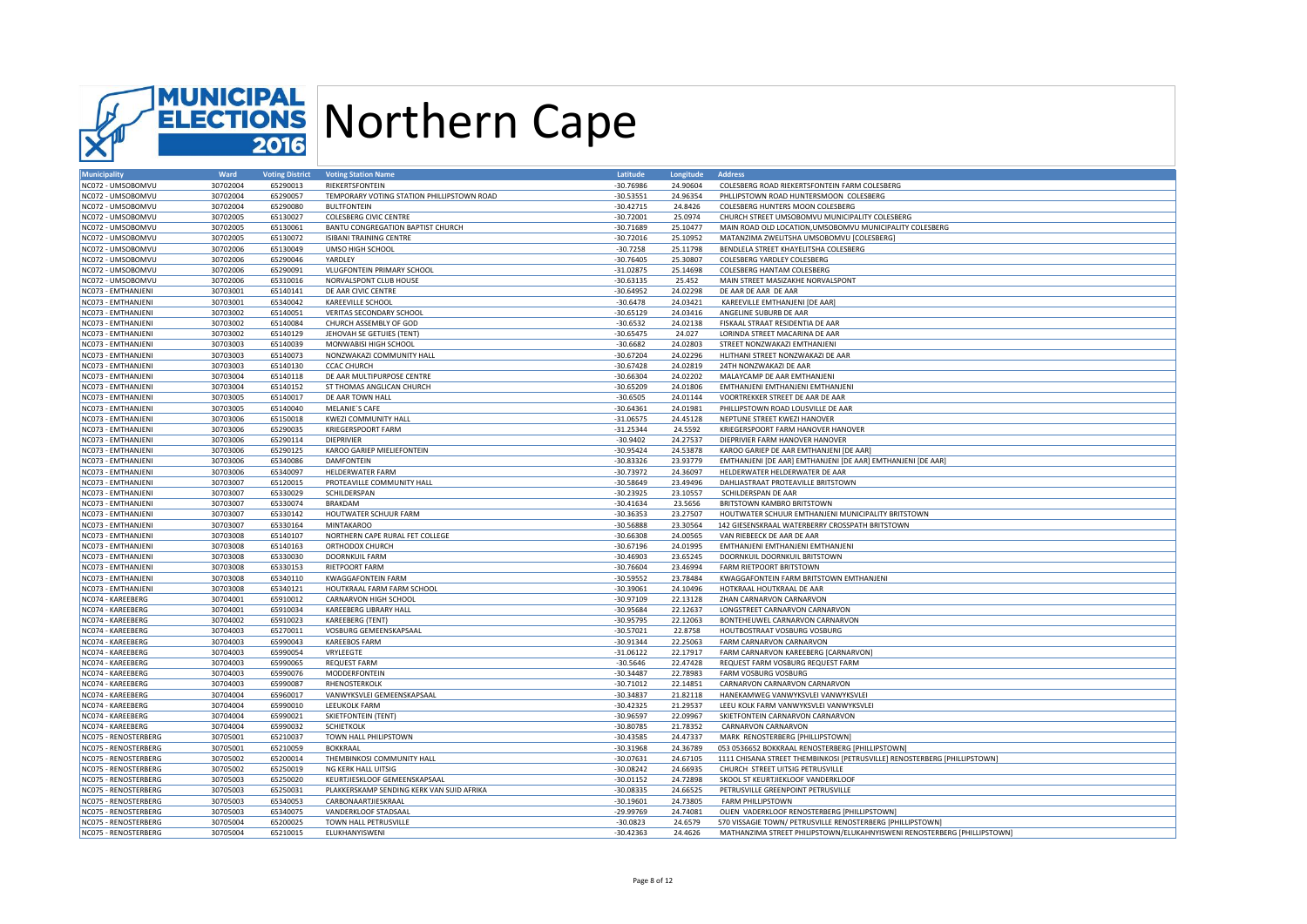

| <b>Municipality</b>  | Ward     | <b>Voting District</b> | <b>Voting Station Name</b>                 | Latitude    | Longitude | <b>Address</b>                                                            |
|----------------------|----------|------------------------|--------------------------------------------|-------------|-----------|---------------------------------------------------------------------------|
| NC072 - UMSOBOMVU    | 30702004 | 65290013               | RIEKERTSFONTEIN                            | $-30.76986$ | 24.90604  | COLESBERG ROAD RIEKERTSFONTEIN FARM COLESBERG                             |
| NC072 - UMSOBOMVU    | 30702004 | 65290057               | TEMPORARY VOTING STATION PHILLIPSTOWN ROAD | $-30.53551$ | 24.96354  | PHLLIPSTOWN ROAD HUNTERSMOON COLESBERG                                    |
| NC072 - UMSOBOMVU    | 30702004 | 65290080               | <b>BULTFONTEIN</b>                         | $-30.42715$ | 24,8426   | COLESBERG HUNTERS MOON COLESBERG                                          |
| NC072 - UMSOBOMVU    | 30702005 | 65130027               | <b>COLESBERG CIVIC CENTRE</b>              | $-30.72001$ | 25.0974   | CHURCH STREET UMSOBOMVU MUNICIPALITY COLESBERG                            |
| NC072 - UMSOBOMVU    | 30702005 | 65130061               | BANTU CONGREGATION BAPTIST CHURCH          | $-30.71689$ | 25.10477  | MAIN ROAD OLD LOCATION, UMSOBOMVU MUNICIPALITY COLESBERG                  |
| NC072 - UMSOBOMVU    | 30702005 | 65130072               | ISIBANI TRAINING CENTRE                    | $-30.72016$ | 25.10952  | MATANZIMA ZWELITSHA UMSOBOMVU [COLESBERG]                                 |
| NC072 - UMSOBOMVU    | 30702006 | 65130049               | UMSO HIGH SCHOOL                           | $-30.7258$  | 25.11798  | BENDLELA STREET KHAYELITSHA COLESBERG                                     |
| NC072 - UMSOBOMVU    | 30702006 | 65290046               | YARDLEY                                    | $-30.76405$ | 25.30807  | COLESBERG YARDLEY COLESBERG                                               |
| NC072 - UMSOBOMVU    | 30702006 | 65290091               | VLUGFONTEIN PRIMARY SCHOOL                 | $-31.02875$ | 25.14698  | COLESBERG HANTAM COLESBERG                                                |
| NC072 - UMSOBOMVU    | 30702006 | 65310016               | NORVALSPONT CLUB HOUSE                     | $-30.63135$ | 25.452    | MAIN STREET MASIZAKHE NORVALSPONT                                         |
| NC073 - EMTHANJENI   | 30703001 | 65140141               | DE AAR CIVIC CENTRE                        | $-30.64952$ | 24.02298  | DE AAR DE AAR DE AAR                                                      |
|                      |          | 65340042               | <b>KAREEVILLE SCHOOL</b>                   | $-30.6478$  | 24.03421  |                                                                           |
| NC073 - EMTHANJENI   | 30703001 | 65140051               |                                            |             | 24.03416  | KAREEVILLE EMTHANJENI [DE AAR]                                            |
| NC073 - EMTHANJENI   | 30703002 |                        | VERITAS SECONDARY SCHOOL                   | $-30.65129$ |           | ANGELINE SUBURB DE AAR                                                    |
| NC073 - EMTHANJENI   | 30703002 | 65140084               | CHURCH ASSEMBLY OF GOD                     | $-30.6532$  | 24.02138  | FISKAAL STRAAT RESIDENTIA DE AAR                                          |
| NC073 - EMTHANJENI   | 30703002 | 65140129               | JEHOVAH SE GETUIES (TENT)                  | $-30.65475$ | 24.027    | LORINDA STREET MACARINA DE AAR                                            |
| NC073 - EMTHANJENI   | 30703003 | 65140039               | MONWABISI HIGH SCHOOL                      | $-30.6682$  | 24.02803  | STREET NONZWAKAZI EMTHANJENI                                              |
| NC073 - EMTHANJENI   | 30703003 | 65140073               | NONZWAKAZI COMMUNITY HALL                  | $-30.67204$ | 24.02296  | HLITHANI STREET NONZWAKAZI DE AAR                                         |
| NC073 - EMTHANJENI   | 30703003 | 65140130               | <b>CCAC CHURCH</b>                         | $-30.67428$ | 24.02819  | 24TH NONZWAKAZI DE AAR                                                    |
| NC073 - EMTHANJENI   | 30703004 | 65140118               | DE AAR MULTIPURPOSE CENTRE                 | $-30.66304$ | 24.02202  | MALAYCAMP DE AAR EMTHANJENI                                               |
| NC073 - EMTHANJENI   | 30703004 | 65140152               | ST THOMAS ANGLICAN CHURCH                  | $-30.65209$ | 24.01806  | EMTHANJENI EMTHANJENI EMTHANJENI                                          |
| NC073 - EMTHANJENI   | 30703005 | 65140017               | DE AAR TOWN HALL                           | $-30.6505$  | 24.01144  | VOORTREKKER STREET DE AAR DE AAR                                          |
| NC073 - EMTHANJENI   | 30703005 | 65140040               | <b>MELANIE'S CAFE</b>                      | $-30.64361$ | 24.01981  | PHILLIPSTOWN ROAD LOUSVILLE DE AAR                                        |
| NC073 - EMTHANJENI   | 30703006 | 65150018               | <b>KWEZI COMMUNITY HALL</b>                | $-31.06575$ | 24.45128  | NEPTUNE STREET KWEZI HANOVER                                              |
| NC073 - EMTHANJENI   | 30703006 | 65290035               | <b>KRIEGERSPOORT FARM</b>                  | $-31.25344$ | 24.5592   | KRIEGERSPOORT FARM HANOVER HANOVER                                        |
| NC073 - EMTHANJENI   | 30703006 | 65290114               | <b>DIEPRIVIER</b>                          | $-30.9402$  | 24.27537  | DIEPRIVIER FARM HANOVER HANOVER                                           |
| NC073 - EMTHANJENI   | 30703006 | 65290125               | KAROO GARIEP MIELIEFONTEIN                 | $-30.95424$ | 24.53878  | KAROO GARIEP DE AAR EMTHANJENI [DE AAR]                                   |
| NC073 - EMTHANJENI   | 30703006 | 65340086               | DAMFONTEIN                                 | $-30.83326$ | 23.93779  | EMTHANJENI [DE AAR] EMTHANJENI [DE AAR] EMTHANJENI [DE AAR]               |
| NC073 - EMTHANJENI   | 30703006 | 65340097               | <b>HELDERWATER FARM</b>                    | $-30.73972$ | 24.36097  | HELDERWATER HELDERWATER DE AAR                                            |
|                      |          |                        |                                            | $-30.58649$ | 23.49496  |                                                                           |
| NC073 - EMTHANJENI   | 30703007 | 65120015               | PROTEAVILLE COMMUNITY HALL                 |             |           | DAHLIASTRAAT PROTEAVILLE BRITSTOWN                                        |
| NC073 - EMTHANJENI   | 30703007 | 65330029               | SCHILDERSPAN                               | $-30.23925$ | 23.10557  | SCHILDERSPAN DE AAR                                                       |
| NC073 - EMTHANJENI   | 30703007 | 65330074               | BRAKDAM                                    | $-30.41634$ | 23.5656   | BRITSTOWN KAMBRO BRITSTOWN                                                |
| NC073 - EMTHANJENI   | 30703007 | 65330142               | HOUTWATER SCHUUR FARM                      | $-30.36353$ | 23.27507  | HOUTWATER SCHUUR EMTHANJENI MUNICIPALITY BRITSTOWN                        |
| NC073 - EMTHANJENI   | 30703007 | 65330164               | <b>MINTAKAROO</b>                          | $-30.56888$ | 23.30564  | 142 GIESENSKRAAL WATERBERRY CROSSPATH BRITSTOWN                           |
| NC073 - EMTHANJENI   | 30703008 | 65140107               | NORTHERN CAPE RURAL FET COLLEGE            | $-30.66308$ | 24.00565  | VAN RIEBEECK DE AAR DE AAR                                                |
| NC073 - EMTHANJENI   | 30703008 | 65140163               | ORTHODOX CHURCH                            | $-30.67196$ | 24.01995  | EMTHANJENI EMTHANJENI EMTHANJENI                                          |
| NC073 - EMTHANJENI   | 30703008 | 65330030               | DOORNKUIL FARM                             | $-30.46903$ | 23.65245  | DOORNKUIL DOORNKUIL BRITSTOWN                                             |
| NC073 - EMTHANJENI   | 30703008 | 65330153               | <b>RIETPOORT FARM</b>                      | $-30.76604$ | 23.46994  | <b>FARM RIETPOORT BRITSTOWN</b>                                           |
| NC073 - EMTHANJENI   | 30703008 | 65340110               | <b>KWAGGAFONTEIN FARM</b>                  | $-30.59552$ | 23.78484  | KWAGGAFONTEIN FARM BRITSTOWN EMTHANJENI                                   |
| NC073 - EMTHANJENI   | 30703008 | 65340121               | HOUTKRAAL FARM FARM SCHOOL                 | $-30.39061$ | 24.10496  | HOTKRAAL HOUTKRAAL DE AAR                                                 |
| NC074 - KAREEBERG    | 30704001 | 65910012               | CARNARVON HIGH SCHOOL                      | $-30.97109$ | 22.13128  | ZHAN CARNARVON CARNARVON                                                  |
| NC074 - KAREEBERG    | 30704001 | 65910034               | KAREEBERG LIBRARY HALL                     | -30.95684   | 22.12637  | LONGSTREET CARNARVON CARNARVON                                            |
| NC074 - KAREEBERG    | 30704002 | 65910023               | KAREEBERG (TENT)                           | $-30.95795$ | 22.12063  | BONTEHEUWEL CARNARVON CARNARVON                                           |
| NC074 - KAREEBERG    | 30704003 | 65270011               | VOSBURG GEMEENSKAPSAAL                     | $-30.57021$ | 22.8758   | HOUTBOSTRAAT VOSBURG VOSBURG                                              |
| NC074 - KAREEBERG    | 30704003 | 65990043               | <b>KAREEBOS FARM</b>                       | $-30.91344$ | 22.25063  | FARM CARNARVON CARNARVON                                                  |
| NC074 - KAREEBERG    | 30704003 | 65990054               | VRYLEEGTE                                  | $-31.06122$ | 22.17917  | FARM CARNARVON KAREEBERG [CARNARVON]                                      |
| NC074 - KAREEBERG    | 30704003 | 65990065               | <b>REQUEST FARM</b>                        | $-30.5646$  | 22.47428  | REQUEST FARM VOSBURG REQUEST FARM                                         |
| NC074 - KAREEBERG    | 30704003 | 65990076               | MODDERFONTEIN                              | $-30.34487$ | 22.78983  | FARM VOSBURG VOSBURG                                                      |
| NC074 - KAREEBERG    | 30704003 | 65990087               | RHENOSTERKOLK                              | $-30.71012$ | 22.14851  | CARNARVON CARNARVON CARNARVON                                             |
| NC074 - KAREEBERG    | 30704004 | 65960017               | VANWYKSVLEI GEMEENSKAPSAAL                 | $-30.34837$ | 21.82118  | HANEKAMWEG VANWYKSVLEI VANWYKSVLEI                                        |
| NC074 - KAREEBERG    | 30704004 | 65990010               | LEEUKOLK FARM                              | $-30.42325$ | 21.29537  | LEEU KOLK FARM VANWYKSVLEI VANWYKSVLEI                                    |
|                      |          |                        |                                            |             |           |                                                                           |
| NC074 - KAREEBERG    | 30704004 | 65990021               | <b>SKIETFONTEIN (TENT)</b>                 | $-30.96597$ | 22.09967  | SKIETFONTEIN CARNARVON CARNARVON                                          |
| NC074 - KAREEBERG    | 30704004 | 65990032               | <b>SCHIETKOLK</b>                          | $-30.80785$ | 21.78352  | CARNARVON CARNARVON                                                       |
| NC075 - RENOSTERBERG | 30705001 | 65210037               | TOWN HALL PHILIPSTOWN                      | $-30.43585$ | 24.47337  | MARK RENOSTERBERG [PHILLIPSTOWN]                                          |
| NC075 - RENOSTERBERG | 30705001 | 65210059               | <b>BOKKRAAL</b>                            | $-30.31968$ | 24.36789  | 053 0536652 BOKKRAAL RENOSTERBERG [PHILLIPSTOWN]                          |
| NC075 - RENOSTERBERG | 30705002 | 65200014               | THEMBINKOSI COMMUNITY HALL                 | $-30.07631$ | 24.67105  | 1111 CHISANA STREET THEMBINKOSI [PETRUSVILLE] RENOSTERBERG [PHILLIPSTOWN] |
| NC075 - RENOSTERBERG | 30705002 | 65250019               | NG KERK HALL UITSIG                        | $-30.08242$ | 24.66935  | CHURCH STREET UITSIG PETRUSVILLE                                          |
| NC075 - RENOSTERBERG | 30705003 | 65250020               | KEURTJIESKLOOF GEMEENSKAPSAAL              | $-30.01152$ | 24.72898  | SKOOL ST KEURTJIEKLOOF VANDERKLOOF                                        |
| NC075 - RENOSTERBERG | 30705003 | 65250031               | PLAKKERSKAMP SENDING KERK VAN SUID AFRIKA  | $-30.08335$ | 24.66525  | PETRUSVILLE GREENPOINT PETRUSVILLE                                        |
| NC075 - RENOSTERBERG | 30705003 | 65340053               | CARBONAARTJIESKRAAL                        | $-30.19601$ | 24.73805  | FARM PHILLIPSTOWN                                                         |
| NC075 - RENOSTERBERG | 30705003 | 65340075               | VANDERKLOOF STADSAAL                       | $-29.99769$ | 24.74081  | OLIEN VADERKLOOF RENOSTERBERG [PHILLIPSTOWN]                              |
| NC075 - RENOSTERBERG | 30705004 | 65200025               | TOWN HALL PETRUSVILLE                      | $-30.0823$  | 24.6579   | 570 VISSAGIE TOWN/ PETRUSVILLE RENOSTERBERG [PHILLIPSTOWN]                |
| NC075 - RENOSTERBERG | 30705004 | 65210015               | ELUKHANYISWENI                             | $-30.42363$ | 24.4626   | MATHANZIMA STREET PHILIPSTOWN/ELUKAHNYISWENI RENOSTERBERG [PHILLIPSTOWN]  |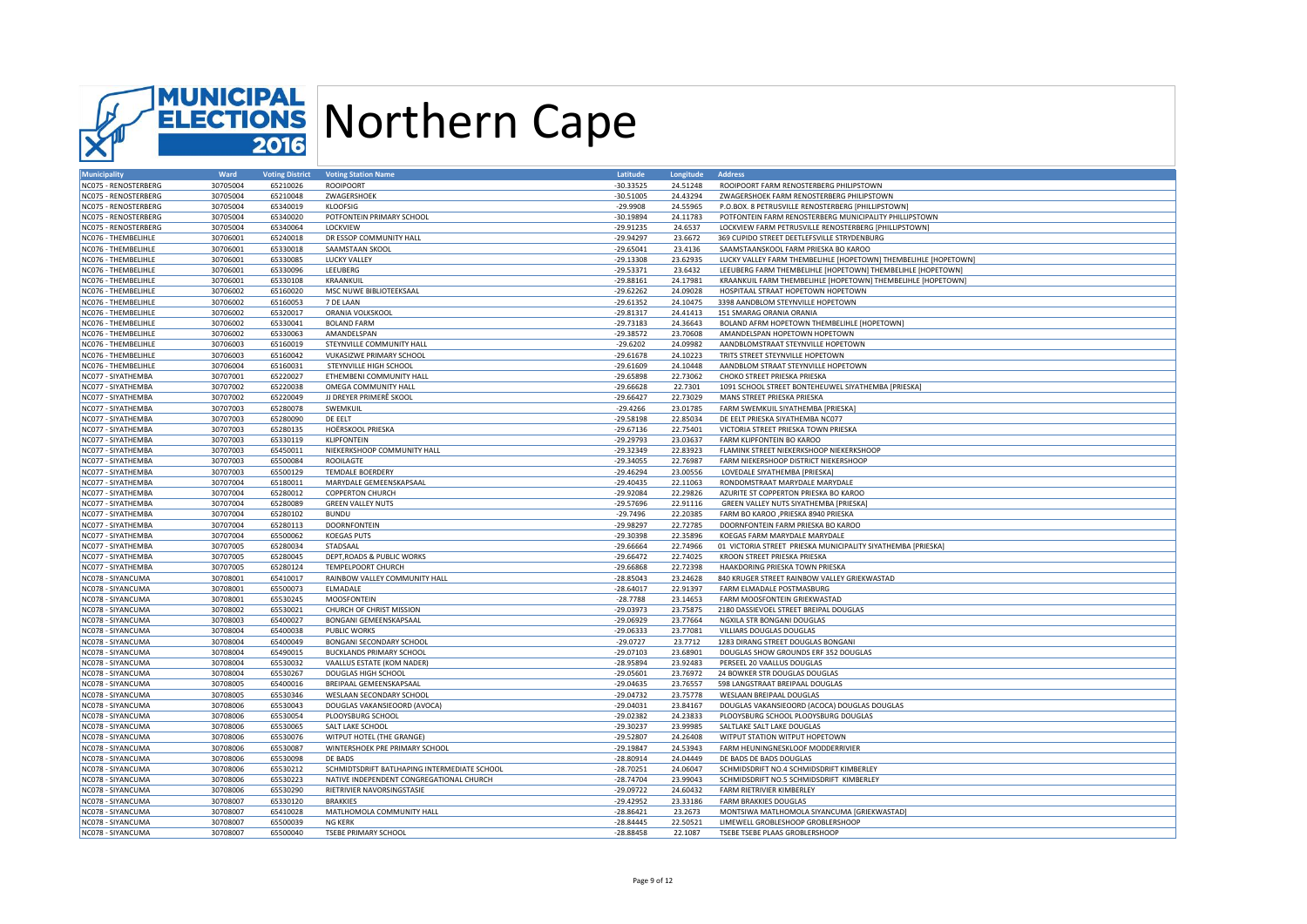

| <b>Municipality</b>  | Ward     | <b>Voting District</b> | <b>Voting Station Name</b>                   | Latitude    | Longitude | <b>Address</b>                                                  |
|----------------------|----------|------------------------|----------------------------------------------|-------------|-----------|-----------------------------------------------------------------|
| NC075 - RENOSTERBERG | 30705004 | 65210026               | <b>ROOIPOORT</b>                             | $-30.33525$ | 24.51248  | ROOIPOORT FARM RENOSTERBERG PHILIPSTOWN                         |
| NC075 - RENOSTERBERG | 30705004 | 65210048               | ZWAGERSHOEK                                  | $-30.51005$ | 24.43294  | ZWAGERSHOEK FARM RENOSTERBERG PHILIPSTOWN                       |
| NC075 - RENOSTERBERG | 30705004 | 65340019               | <b>KLOOFSIG</b>                              | $-29.9908$  | 24.55965  | P.O.BOX. 8 PETRUSVILLE RENOSTERBERG [PHILLIPSTOWN]              |
| NC075 - RENOSTERBERG | 30705004 | 65340020               | POTFONTEIN PRIMARY SCHOOL                    | $-30.19894$ | 24.11783  | POTFONTEIN FARM RENOSTERBERG MUNICIPALITY PHILLIPSTOWN          |
| NC075 - RENOSTERBERG | 30705004 | 65340064               | LOCKVIEW                                     | $-29.91235$ | 24.6537   | LOCKVIEW FARM PETRUSVILLE RENOSTERBERG [PHILLIPSTOWN]           |
| NC076 - THEMBELIHLE  | 30706001 | 65240018               | DR ESSOP COMMUNITY HALL                      | $-29.94297$ | 23.6672   | 369 CUPIDO STREET DEETLEFSVILLE STRYDENBURG                     |
| NC076 - THEMBELIHLE  | 30706001 | 65330018               | SAAMSTAAN SKOOL                              | $-29.65041$ | 23.4136   | SAAMSTAANSKOOL FARM PRIESKA BO KAROO                            |
| NC076 - THEMBELIHLE  | 30706001 | 65330085               | <b>LUCKY VALLEY</b>                          | $-29.13308$ | 23.62935  | LUCKY VALLEY FARM THEMBELIHLE [HOPETOWN] THEMBELIHLE [HOPETOWN] |
| NC076 - THEMBELIHLE  | 30706001 | 65330096               | LEEUBERG                                     | $-29.53371$ | 23.6432   | LEEUBERG FARM THEMBELIHLE [HOPETOWN] THEMBELIHLE [HOPETOWN]     |
| NC076 - THEMBELIHLE  | 30706001 | 65330108               | KRAANKUIL                                    | $-29.88161$ | 24.17981  | KRAANKUIL FARM THEMBELIHLE [HOPETOWN] THEMBELIHLE [HOPETOWN]    |
| NC076 - THEMBELIHLE  | 30706002 | 65160020               | MSC NUWE BIBLIOTEEKSAAL                      | $-29.62262$ | 24.09028  | HOSPITAAL STRAAT HOPETOWN HOPETOWN                              |
| NC076 - THEMBELIHLE  | 30706002 | 65160053               | 7 DE LAAN                                    | $-29.61352$ | 24.10475  | 3398 AANDBLOM STEYNVILLE HOPETOWN                               |
| NC076 - THEMBELIHLE  | 30706002 | 65320017               | ORANIA VOLKSKOOL                             | $-29.81317$ | 24.41413  | 151 SMARAG ORANIA ORANIA                                        |
|                      |          |                        |                                              |             |           |                                                                 |
| NC076 - THEMBELIHLE  | 30706002 | 65330041               | <b>BOLAND FARM</b>                           | $-29.73183$ | 24.36643  | BOLAND AFRM HOPETOWN THEMBELIHLE [HOPETOWN]                     |
| NC076 - THEMBELIHLE  | 30706002 | 65330063               | AMANDELSPAN                                  | $-29.38572$ | 23.70608  | AMANDELSPAN HOPETOWN HOPETOWN                                   |
| NC076 - THEMBELIHLE  | 30706003 | 65160019               | STEYNVILLE COMMUNITY HALL                    | $-29.6202$  | 24.09982  | AANDBLOMSTRAAT STEYNVILLE HOPETOWN                              |
| NC076 - THEMBELIHLE  | 30706003 | 65160042               | <b>VUKASIZWE PRIMARY SCHOOL</b>              | $-29.61678$ | 24.10223  | TRITS STREET STEYNVILLE HOPETOWN                                |
| NC076 - THEMBELIHLE  | 30706004 | 65160031               | STEYNVILLE HIGH SCHOOL                       | $-29.61609$ | 24.10448  | AANDBLOM STRAAT STEYNVILLE HOPETOWN                             |
| NC077 - SIYATHEMBA   | 30707001 | 65220027               | ETHEMBENI COMMUNITY HALL                     | $-29.65898$ | 22.73062  | CHOKO STREET PRIESKA PRIESKA                                    |
| NC077 - SIYATHEMBA   | 30707002 | 65220038               | OMEGA COMMUNITY HALL                         | $-29.66628$ | 22.7301   | 1091 SCHOOL STREET BONTEHEUWEL SIYATHEMBA [PRIESKA]             |
| NC077 - SIYATHEMBA   | 30707002 | 65220049               | JJ DREYER PRIMERÊ SKOOL                      | $-29.66427$ | 22.73029  | MANS STREET PRIESKA PRIESKA                                     |
| NC077 - SIYATHEMBA   | 30707003 | 65280078               | SWEMKUIL                                     | $-29.4266$  | 23.01785  | FARM SWEMKUIL SIYATHEMBA [PRIESKA]                              |
| NC077 - SIYATHEMBA   | 30707003 | 65280090               | DE EELT                                      | $-29.58198$ | 22.85034  | DE EELT PRIESKA SIYATHEMBA NC077                                |
| NC077 - SIYATHEMBA   | 30707003 | 65280135               | HOËRSKOOL PRIESKA                            | $-29.67136$ | 22.75401  | VICTORIA STREET PRIESKA TOWN PRIESKA                            |
| NC077 - SIYATHEMBA   | 30707003 | 65330119               | KLIPFONTEIN                                  | $-29.29793$ | 23.03637  | FARM KLIPFONTEIN BO KAROO                                       |
| NC077 - SIYATHEMBA   | 30707003 | 65450011               | NIEKERKSHOOP COMMUNITY HALL                  | $-29.32349$ | 22.83923  | FLAMINK STREET NIEKERKSHOOP NIEKERKSHOOP                        |
| NC077 - SIYATHEMBA   | 30707003 | 65500084               | <b>ROOILAGTE</b>                             | $-29.34055$ | 22.76987  | FARM NIEKERSHOOP DISTRICT NIEKERSHOOP                           |
| NC077 - SIYATHEMBA   | 30707003 | 65500129               | <b>TEMDALE BOERDERY</b>                      | $-29.46294$ | 23.00556  | LOVEDALE SIYATHEMBA [PRIESKA]                                   |
| NC077 - SIYATHEMBA   | 30707004 | 65180011               | MARYDALE GEMEENSKAPSAAL                      | $-29.40435$ | 22.11063  | RONDOMSTRAAT MARYDALE MARYDALE                                  |
| NC077 - SIYATHEMBA   | 30707004 | 65280012               | <b>COPPERTON CHURCH</b>                      | $-29.92084$ | 22.29826  | AZURITE ST COPPERTON PRIESKA BO KAROO                           |
| NC077 - SIYATHEMBA   | 30707004 | 65280089               | <b>GREEN VALLEY NUTS</b>                     | $-29.57696$ | 22.91116  | GREEN VALLEY NUTS SIYATHEMBA [PRIESKA]                          |
| NC077 - SIYATHEMBA   | 30707004 | 65280102               | <b>BUNDU</b>                                 | $-29.7496$  | 22.20385  | FARM BO KAROO , PRIESKA 8940 PRIESKA                            |
| NC077 - SIYATHEMBA   | 30707004 | 65280113               | <b>DOORNFONTEIN</b>                          | $-29.98297$ | 22.72785  | DOORNFONTEIN FARM PRIESKA BO KAROO                              |
| NC077 - SIYATHEMBA   | 30707004 | 65500062               | <b>KOEGAS PUTS</b>                           | $-29.30398$ | 22.35896  | KOEGAS FARM MARYDALE MARYDALE                                   |
| NC077 - SIYATHEMBA   | 30707005 | 65280034               | STADSAAL                                     | $-29.66664$ | 22.74966  | 01 VICTORIA STREET PRIESKA MUNICIPALITY SIYATHEMBA [PRIESKA]    |
| NC077 - SIYATHEMBA   | 30707005 | 65280045               | DEPT, ROADS & PUBLIC WORKS                   | $-29.66472$ | 22.74025  | KROON STREET PRIESKA PRIESKA                                    |
|                      |          |                        |                                              |             |           |                                                                 |
| NC077 - SIYATHEMBA   | 30707005 | 65280124               | TEMPELPOORT CHURCH                           | $-29.66868$ | 22.72398  | HAAKDORING PRIESKA TOWN PRIESKA                                 |
| NC078 - SIYANCUMA    | 30708001 | 65410017               | RAINBOW VALLEY COMMUNITY HALL                | $-28.85043$ | 23.24628  | 840 KRUGER STREET RAINBOW VALLEY GRIEKWASTAD                    |
| NC078 - SIYANCUMA    | 30708001 | 65500073               | <b>ELMADALE</b>                              | $-28.64017$ | 22.91397  | FARM ELMADALE POSTMASBURG                                       |
| NC078 - SIYANCUMA    | 30708001 | 65530245               | <b>MOOSFONTEIN</b>                           | $-28.7788$  | 23.14653  | FARM MOOSFONTEIN GRIEKWASTAD                                    |
| NC078 - SIYANCUMA    | 30708002 | 65530021               | CHURCH OF CHRIST MISSION                     | $-29.03973$ | 23.75875  | 2180 DASSIEVOEL STREET BREIPAL DOUGLAS                          |
| NC078 - SIYANCUMA    | 30708003 | 65400027               | BONGANI GEMEENSKAPSAAL                       | $-29.06929$ | 23.77664  | NGXILA STR BONGANI DOUGLAS                                      |
| NC078 - SIYANCUMA    | 30708004 | 65400038               | PUBLIC WORKS                                 | $-29.06333$ | 23.77081  | VILLIARS DOUGLAS DOUGLAS                                        |
| NC078 - SIYANCUMA    | 30708004 | 65400049               | BONGANI SECONDARY SCHOOL                     | $-29.0727$  | 23.7712   | 1283 DIRANG STREET DOUGLAS BONGANI                              |
| NC078 - SIYANCUMA    | 30708004 | 65490015               | <b>BUCKLANDS PRIMARY SCHOOL</b>              | $-29.07103$ | 23.68901  | DOUGLAS SHOW GROUNDS ERF 352 DOUGLAS                            |
| NC078 - SIYANCUMA    | 30708004 | 65530032               | VAALLUS ESTATE (KOM NADER)                   | $-28.95894$ | 23.92483  | PERSEEL 20 VAALLUS DOUGLAS                                      |
| NC078 - SIYANCUMA    | 30708004 | 65530267               | DOUGLAS HIGH SCHOOL                          | $-29.05601$ | 23.76972  | 24 BOWKER STR DOUGLAS DOUGLAS                                   |
| NC078 - SIYANCUMA    | 30708005 | 65400016               | BREIPAAL GEMEENSKAPSAAL                      | $-29.04635$ | 23.76557  | 598 LANGSTRAAT BREIPAAL DOUGLAS                                 |
| NC078 - SIYANCUMA    | 30708005 | 65530346               | WESLAAN SECONDARY SCHOOL                     | $-29.04732$ | 23.75778  | WESLAAN BREIPAAL DOUGLAS                                        |
| NC078 - SIYANCUMA    | 30708006 | 65530043               | DOUGLAS VAKANSIEOORD (AVOCA)                 | $-29.04031$ | 23.84167  | DOUGLAS VAKANSIEOORD (ACOCA) DOUGLAS DOUGLAS                    |
| NC078 - SIYANCUMA    | 30708006 | 65530054               | PLOOYSBURG SCHOOL                            | $-29.02382$ | 24.23833  | PLOOYSBURG SCHOOL PLOOYSBURG DOUGLAS                            |
| NC078 - SIYANCUMA    | 30708006 | 65530065               | SALT LAKE SCHOOL                             | $-29.30237$ | 23.99985  | SALTLAKE SALT LAKE DOUGLAS                                      |
| NC078 - SIYANCUMA    | 30708006 | 65530076               | WITPUT HOTEL (THE GRANGE)                    | $-29.52807$ | 24.26408  | WITPUT STATION WITPUT HOPETOWN                                  |
| NC078 - SIYANCUMA    | 30708006 | 65530087               | WINTERSHOEK PRE PRIMARY SCHOOL               | $-29.19847$ | 24.53943  | FARM HEUNINGNESKLOOF MODDERRIVIER                               |
| NC078 - SIYANCUMA    | 30708006 | 65530098               | DE BADS                                      | $-28.80914$ | 24.04449  | DE BADS DE BADS DOUGLAS                                         |
| NC078 - SIYANCUMA    | 30708006 | 65530212               | SCHMIDTSDRIFT BATLHAPING INTERMEDIATE SCHOOL | $-28.70251$ | 24.06047  | SCHMIDSDRIFT NO.4 SCHMIDSDRIFT KIMBERLEY                        |
| NC078 - SIYANCUMA    | 30708006 | 65530223               | NATIVE INDEPENDENT CONGREGATIONAL CHURCH     | $-28.74704$ | 23.99043  | SCHMIDSDRIFT NO.5 SCHMIDSDRIFT KIMBERLEY                        |
| NC078 - SIYANCUMA    | 30708006 | 65530290               | RIETRIVIER NAVORSINGSTASIE                   | $-29.09722$ | 24.60432  | FARM RIETRIVIER KIMBERLEY                                       |
| NC078 - SIYANCUMA    | 30708007 | 65330120               | <b>BRAKKIES</b>                              | $-29.42952$ | 23.33186  | FARM BRAKKIES DOUGLAS                                           |
| NC078 - SIYANCUMA    | 30708007 | 65410028               | MATLHOMOLA COMMUNITY HALL                    | $-28.86421$ | 23.2673   | MONTSIWA MATLHOMOLA SIYANCUMA [GRIEKWASTAD]                     |
| NC078 - SIYANCUMA    | 30708007 | 65500039               | <b>NG KFRK</b>                               | $-28.84445$ | 22.50521  | LIMEWELL GROBLESHOOP GROBLERSHOOP                               |
| NC078 - SIYANCUMA    | 30708007 | 65500040               | <b>TSEBE PRIMARY SCHOOL</b>                  | $-28.88458$ | 22.1087   | TSEBE TSEBE PLAAS GROBLERSHOOP                                  |
|                      |          |                        |                                              |             |           |                                                                 |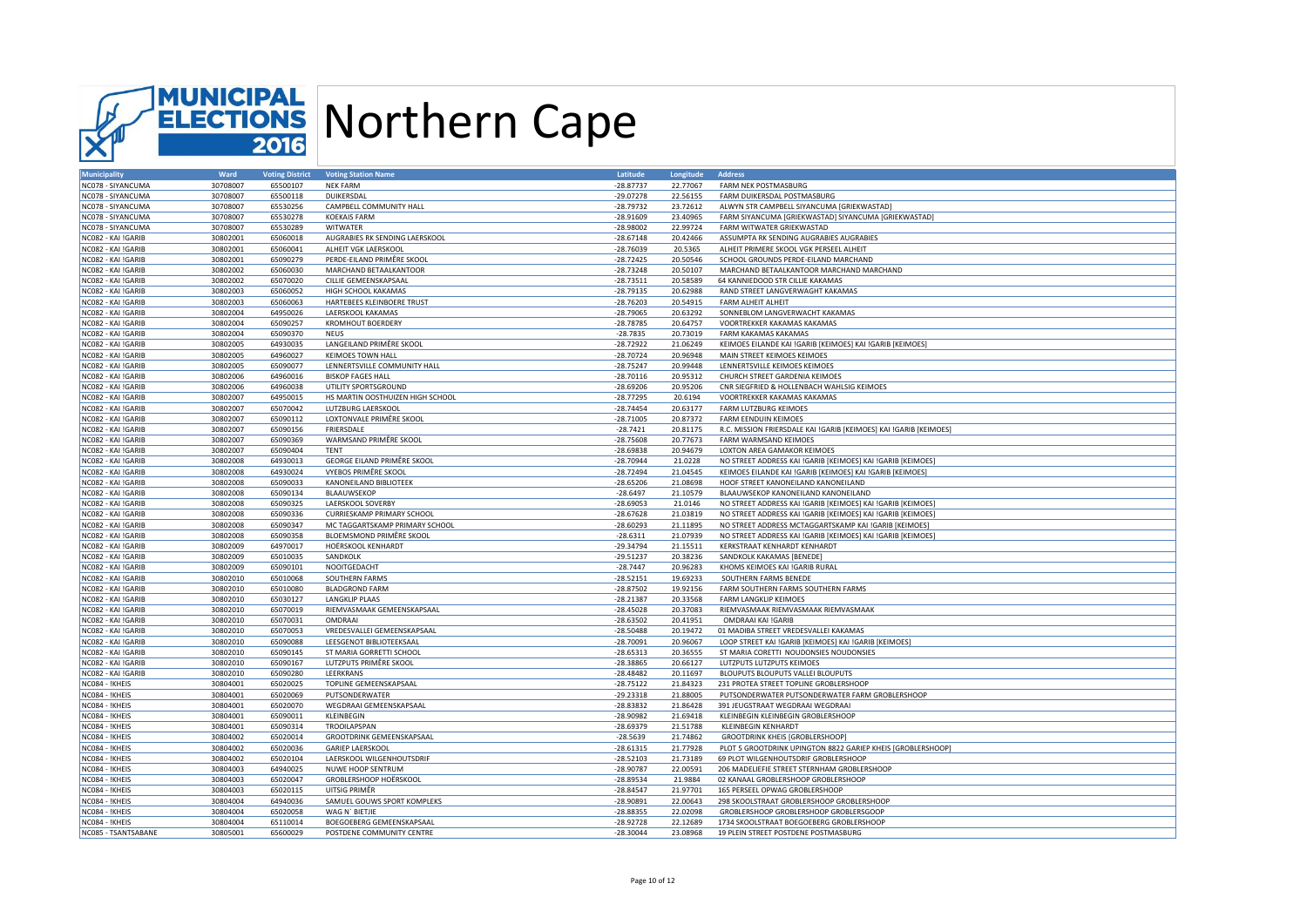

| <b>Municipality</b> | Ward     | <b>Voting District</b> | <b>Voting Station Name</b>        | Latitude    | <b>Longitude</b> | <b>Address</b>                                                    |
|---------------------|----------|------------------------|-----------------------------------|-------------|------------------|-------------------------------------------------------------------|
| NC078 - SIYANCUMA   | 30708007 | 65500107               | <b>NEK FARM</b>                   | $-28.87737$ | 22.77067         | FARM NEK POSTMASBURG                                              |
| NC078 - SIYANCUMA   | 30708007 | 65500118               | DUIKERSDAL                        | $-29.07278$ | 22.56155         | FARM DUIKERSDAL POSTMASBURG                                       |
| NC078 - SIYANCUMA   | 30708007 | 65530256               | CAMPBELL COMMUNITY HALL           | $-28.79732$ | 23.72612         | ALWYN STR CAMPBELL SIYANCUMA [GRIEKWASTAD]                        |
| NC078 - SIYANCUMA   | 30708007 | 65530278               | <b>KOEKAIS FARM</b>               | $-28.91609$ | 23.40965         | FARM SIYANCUMA [GRIEKWASTAD] SIYANCUMA [GRIEKWASTAD]              |
| NC078 - SIYANCUMA   | 30708007 | 65530289               | <b>WITWATER</b>                   | $-28.98002$ | 22.99724         | FARM WITWATER GRIEKWASTAD                                         |
| NC082 - KAI !GARIB  | 30802001 | 65060018               | AUGRABIES RK SENDING LAERSKOOL    | $-28.67148$ | 20.42466         | ASSUMPTA RK SENDING AUGRABIES AUGRABIES                           |
| NC082 - KAI !GARIB  | 30802001 | 65060041               | ALHEIT VGK LAERSKOOL              | $-28.76039$ | 20.5365          | ALHEIT PRIMERE SKOOL VGK PERSEEL ALHEIT                           |
| NC082 - KAI !GARIB  | 30802001 | 65090279               | PERDE-EILAND PRIMÊRE SKOOL        | $-28.72425$ | 20.50546         | SCHOOL GROUNDS PERDE-EILAND MARCHAND                              |
| NC082 - KAI !GARIB  | 30802002 | 65060030               | MARCHAND BETAALKANTOOR            | $-28.73248$ | 20.50107         | MARCHAND BETAALKANTOOR MARCHAND MARCHAND                          |
| NC082 - KAI !GARIB  | 30802002 | 65070020               | CILLIE GEMEENSKAPSAAL             | $-28.73511$ | 20.58589         | 64 KANNIEDOOD STR CILLIE KAKAMAS                                  |
| NC082 - KAI !GARIB  | 30802003 | 65060052               | HIGH SCHOOL KAKAMAS               | $-28.79135$ | 20.62988         | RAND STREET LANGVERWAGHT KAKAMAS                                  |
| NC082 - KAI !GARIB  | 30802003 | 65060063               | HARTEBEES KLEINBOERE TRUST        | $-28.76203$ | 20.54915         | <b>FARM ALHEIT ALHEIT</b>                                         |
| NC082 - KAI !GARIB  | 30802004 | 64950026               | LAERSKOOL KAKAMAS                 | $-28.79065$ | 20.63292         | SONNEBLOM LANGVERWACHT KAKAMAS                                    |
| NC082 - KAI !GARIB  | 30802004 | 65090257               | <b>KROMHOUT BOERDERY</b>          | $-28.78785$ | 20.64757         | VOORTREKKER KAKAMAS KAKAMAS                                       |
|                     |          |                        |                                   |             |                  |                                                                   |
| NC082 - KAI !GARIB  | 30802004 | 65090370               | <b>NEUS</b>                       | $-28.7835$  | 20.73019         | FARM KAKAMAS KAKAMAS                                              |
| NC082 - KAI !GARIB  | 30802005 | 64930035               | LANGEILAND PRIMÊRE SKOOL          | $-28.72922$ | 21.06249         | KEIMOES EILANDE KAI !GARIB [KEIMOES] KAI !GARIB [KEIMOES]         |
| NC082 - KAI !GARIB  | 30802005 | 64960027               | <b>KEIMOES TOWN HALL</b>          | $-28.70724$ | 20.96948         | MAIN STREET KEIMOES KEIMOES                                       |
| NC082 - KAI !GARIB  | 30802005 | 65090077               | LENNERTSVILLE COMMUNITY HALL      | $-28.75247$ | 20.99448         | LENNERTSVILLE KEIMOES KEIMOES                                     |
| NC082 - KAI !GARIB  | 30802006 | 64960016               | <b>BISKOP FAGES HALL</b>          | $-28.70116$ | 20.95312         | CHURCH STREET GARDENIA KEIMOES                                    |
| NC082 - KAI !GARIB  | 30802006 | 64960038               | UTILITY SPORTSGROUND              | $-28.69206$ | 20.95206         | CNR SIEGFRIED & HOLLENBACH WAHLSIG KEIMOES                        |
| NC082 - KAI !GARIB  | 30802007 | 64950015               | HS MARTIN OOSTHUIZEN HIGH SCHOOL  | $-28.77295$ | 20.6194          | VOORTREKKER KAKAMAS KAKAMAS                                       |
| NC082 - KAI !GARIB  | 30802007 | 65070042               | LUTZBURG LAERSKOOL                | $-28.74454$ | 20.63177         | <b>FARM LUTZBURG KEIMOES</b>                                      |
| NC082 - KAI !GARIB  | 30802007 | 65090112               | LOXTONVALE PRIMÊRE SKOOL          | $-28.71005$ | 20.87372         | <b>FARM EENDUIN KEIMOES</b>                                       |
| NC082 - KAI !GARIB  | 30802007 | 65090156               | FRIERSDALE                        | $-28.7421$  | 20.81175         | R.C. MISSION FRIERSDALE KAI !GARIB [KEIMOES] KAI !GARIB [KEIMOES] |
| NC082 - KAI !GARIB  | 30802007 | 65090369               | WARMSAND PRIMÊRE SKOOL            | $-28.75608$ | 20.77673         | <b>FARM WARMSAND KEIMOES</b>                                      |
| NC082 - KAI !GARIB  | 30802007 | 65090404               | <b>TENT</b>                       | $-28.69838$ | 20.94679         | <b>LOXTON AREA GAMAKOR KEIMOES</b>                                |
| NC082 - KAI !GARIB  | 30802008 | 64930013               | GEORGE EILAND PRIMÊRE SKOOL       | $-28.70944$ | 21.0228          | NO STREET ADDRESS KAI !GARIB [KEIMOES] KAI !GARIB [KEIMOES]       |
| NC082 - KAI !GARIB  | 30802008 | 64930024               | <b>VYEBOS PRIMÊRE SKOOL</b>       | $-28.72494$ | 21.04545         | KEIMOES EILANDE KAI !GARIB [KEIMOES] KAI !GARIB [KEIMOES]         |
| NC082 - KAI !GARIB  | 30802008 | 65090033               | <b>KANONEILAND BIBLIOTEEK</b>     | $-28.65206$ | 21.08698         | HOOF STREET KANONEILAND KANONEILAND                               |
| NC082 - KAI !GARIB  | 30802008 | 65090134               | BLAAUWSEKOP                       | $-28.6497$  | 21.10579         | BLAAUWSEKOP KANONEILAND KANONEILAND                               |
| NC082 - KAI !GARIB  | 30802008 | 65090325               | LAERSKOOL SOVERBY                 | $-28.69053$ | 21.0146          | NO STREET ADDRESS KAI !GARIB [KEIMOES] KAI !GARIB [KEIMOES]       |
| NC082 - KAI !GARIB  | 30802008 | 65090336               | <b>CURRIESKAMP PRIMARY SCHOOL</b> | $-28.67628$ | 21.03819         | NO STREET ADDRESS KAI !GARIB [KEIMOES] KAI !GARIB [KEIMOES]       |
| NC082 - KAI !GARIB  | 30802008 | 65090347               | MC TAGGARTSKAMP PRIMARY SCHOOL    | $-28.60293$ | 21.11895         | NO STREET ADDRESS MCTAGGARTSKAMP KAI !GARIB [KEIMOES]             |
| NC082 - KAI !GARIB  | 30802008 | 65090358               | BLOEMSMOND PRIMÊRE SKOOL          | $-28.6311$  | 21.07939         | NO STREET ADDRESS KAI !GARIB [KEIMOES] KAI !GARIB [KEIMOES]       |
| NC082 - KAI !GARIB  | 30802009 | 64970017               | HOËRSKOOL KENHARDT                | $-29.34794$ | 21.15511         | KERKSTRAAT KENHARDT KENHARDT                                      |
| NC082 - KAI !GARIB  | 30802009 | 65010035               | SANDKOLK                          | $-29.51237$ | 20.38236         | SANDKOLK KAKAMAS [BENEDE]                                         |
| NC082 - KAI !GARIB  | 30802009 | 65090101               | NOOITGEDACHT                      | $-28.7447$  | 20.96283         | KHOMS KEIMOES KAI !GARIB RURAL                                    |
|                     | 30802010 | 65010068               | SOUTHERN FARMS                    | $-28.52151$ | 19.69233         | SOUTHERN FARMS BENEDE                                             |
| NC082 - KAI !GARIB  |          |                        |                                   |             |                  |                                                                   |
| NC082 - KAI !GARIB  | 30802010 | 65010080               | <b>BLADGROND FARM</b>             | $-28.87502$ | 19.92156         | FARM SOUTHERN FARMS SOUTHERN FARMS                                |
| NC082 - KAI !GARIB  | 30802010 | 65030127               | LANGKLIP PLAAS                    | $-28.21387$ | 20.33568         | FARM LANGKLIP KEIMOES                                             |
| NC082 - KAI !GARIB  | 30802010 | 65070019               | RIEMVASMAAK GEMEENSKAPSAAL        | $-28.45028$ | 20.37083         | RIEMVASMAAK RIEMVASMAAK RIEMVASMAAK                               |
| NC082 - KAI !GARIB  | 30802010 | 65070031               | OMDRAAI                           | $-28.63502$ | 20.41951         | OMDRAAI KAI !GARIB                                                |
| NC082 - KAI !GARIB  | 30802010 | 65070053               | VREDESVALLEI GEMEENSKAPSAAL       | $-28.50488$ | 20.19472         | 01 MADIBA STREET VREDESVALLEI KAKAMAS                             |
| NC082 - KAI !GARIB  | 30802010 | 65090088               | LEESGENOT BIBLIOTEEKSAAL          | $-28.70091$ | 20.96067         | LOOP STREET KAI !GARIB [KEIMOES] KAI !GARIB [KEIMOES]             |
| NC082 - KAI !GARIB  | 30802010 | 65090145               | ST MARIA GORRETTI SCHOOL          | $-28.65313$ | 20.36555         | ST MARIA CORETTI NOUDONSIES NOUDONSIES                            |
| NC082 - KAI !GARIB  | 30802010 | 65090167               | LUTZPUTS PRIMÊRE SKOOL            | $-28.38865$ | 20.66127         | LUTZPUTS LUTZPUTS KEIMOES                                         |
| NC082 - KAI !GARIB  | 30802010 | 65090280               | LEERKRANS                         | $-28.48482$ | 20.11697         | BLOUPUTS BLOUPUTS VALLEI BLOUPUTS                                 |
| NC084 - !KHEIS      | 30804001 | 65020025               | TOPLINE GEMEENSKAPSAAL            | $-28.75122$ | 21.84323         | 231 PROTEA STREET TOPLINE GROBLERSHOOP                            |
| NC084 - !KHEIS      | 30804001 | 65020069               | PUTSONDERWATER                    | $-29.23318$ | 21.88005         | PUTSONDERWATER PUTSONDERWATER FARM GROBLERSHOOP                   |
| NC084 - !KHEIS      | 30804001 | 65020070               | WEGDRAAI GEMEENSKAPSAAL           | $-28.83832$ | 21.86428         | 391 JEUGSTRAAT WEGDRAAI WEGDRAAI                                  |
| NC084 - !KHEIS      | 30804001 | 65090011               | KLEINBEGIN                        | $-28.90982$ | 21.69418         | KLEINBEGIN KLEINBEGIN GROBLERSHOOP                                |
| NC084 - !KHEIS      | 30804001 | 65090314               | TROOILAPSPAN                      | $-28.69379$ | 21.51788         | <b>KLEINBEGIN KENHARDT</b>                                        |
| NC084 - !KHEIS      | 30804002 | 65020014               | GROOTDRINK GEMEENSKAPSAAL         | $-28.5639$  | 21.74862         | GROOTDRINK KHEIS [GROBLERSHOOP]                                   |
| NC084 - !KHEIS      | 30804002 | 65020036               | <b>GARIEP LAERSKOOL</b>           | $-28.61315$ | 21.77928         | PLOT 5 GROOTDRINK UPINGTON 8822 GARIEP KHEIS [GROBLERSHOOP]       |
| NC084 - !KHEIS      | 30804002 | 65020104               | LAERSKOOL WILGENHOUTSDRIF         | $-28.52103$ | 21.73189         | 69 PLOT WILGENHOUTSDRIF GROBLERSHOOP                              |
| NC084 - !KHEIS      | 30804003 | 64940025               | NUWE HOOP SENTRUM                 | $-28.90787$ | 22.00591         | 206 MADELIEFIE STREET STERNHAM GROBLERSHOOP                       |
| NC084 - !KHEIS      | 30804003 | 65020047               | GROBLERSHOOP HOËRSKOOL            | $-28.89534$ | 21.9884          | 02 KANAAL GROBLERSHOOP GROBLERSHOOP                               |
| NC084 - !KHEIS      | 30804003 | 65020115               | UITSIG PRIMÊR                     | $-28.84547$ | 21.97701         | 165 PERSEEL OPWAG GROBLERSHOOP                                    |
| NC084 - !KHEIS      | 30804004 | 64940036               | SAMUEL GOUWS SPORT KOMPLEKS       | $-28.90891$ | 22.00643         | 298 SKOOLSTRAAT GROBLERSHOOP GROBLERSHOOP                         |
| NC084 - !KHEIS      | 30804004 | 65020058               | WAG N' BIETJIE                    | $-28.88355$ | 22.02098         | GROBLERSHOOP GROBLERSHOOP GROBLERSGOOP                            |
| NC084 - !KHEIS      | 30804004 | 65110014               | BOEGOEBERG GEMEENSKAPSAAL         | $-28.92728$ | 22.12689         | 1734 SKOOLSTRAAT BOEGOEBERG GROBLERSHOOP                          |
| NC085 - TSANTSABANE | 30805001 | 65600029               | POSTDENE COMMUNITY CENTRE         | $-28.30044$ | 23.08968         | 19 PLEIN STREET POSTDENE POSTMASBURG                              |
|                     |          |                        |                                   |             |                  |                                                                   |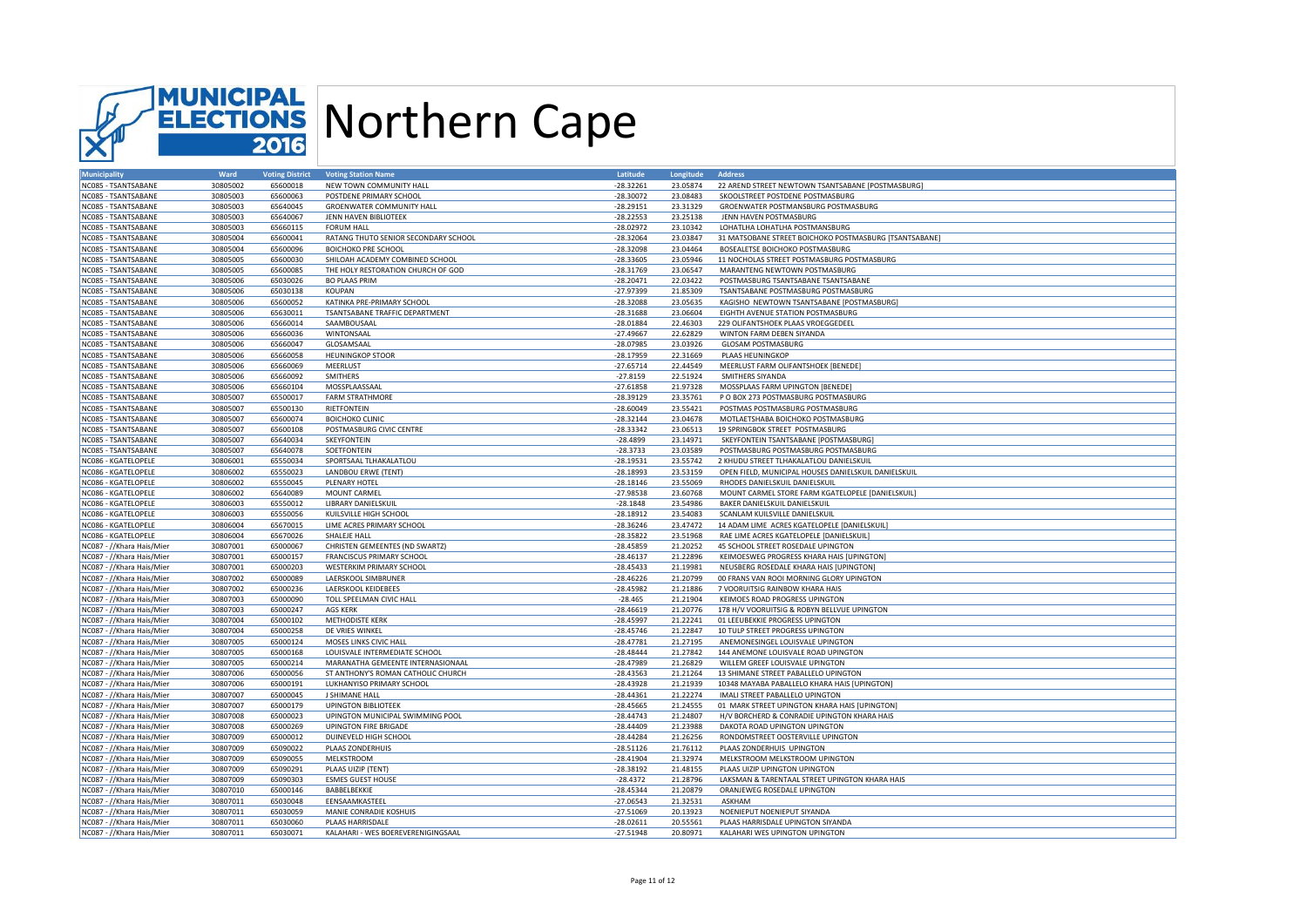

| <b>Municipality</b>       | Ward     | <b>Voting District</b> | <b>Voting Station Name</b>           | Latitude    | Longitude | <b>Address</b>                                                                 |
|---------------------------|----------|------------------------|--------------------------------------|-------------|-----------|--------------------------------------------------------------------------------|
| NC085 - TSANTSABANE       | 30805002 | 65600018               | NEW TOWN COMMUNITY HALL              | $-28.32261$ | 23.05874  | 22 AREND STREET NEWTOWN TSANTSABANE [POSTMASBURG]                              |
| NC085 - TSANTSABANE       | 30805003 | 65600063               | POSTDENE PRIMARY SCHOOL              | $-28.30072$ | 23.08483  | SKOOLSTREET POSTDENE POSTMASBURG                                               |
| NC085 - TSANTSABANE       | 30805003 | 65640045               | <b>GROENWATER COMMUNITY HALL</b>     | $-28.29151$ | 23.31329  | GROENWATER POSTMANSBURG POSTMASBURG                                            |
| NC085 - TSANTSABANE       | 30805003 | 65640067               | JENN HAVEN BIBLIOTEEK                | $-28.22553$ | 23.25138  | JENN HAVEN POSTMASBURG                                                         |
| NC085 - TSANTSABANE       | 30805003 | 65660115               | <b>FORUM HALL</b>                    | $-28.02972$ | 23.10342  | LOHATLHA LOHATLHA POSTMANSBURG                                                 |
| NC085 - TSANTSABANE       | 30805004 | 65600041               | RATANG THUTO SENIOR SECONDARY SCHOOL | $-28.32064$ | 23.03847  | 31 MATSOBANE STREET BOICHOKO POSTMASBURG [TSANTSABANE]                         |
| NC085 - TSANTSABANE       | 30805004 | 65600096               | <b>BOICHOKO PRE SCHOOL</b>           | $-28.32098$ | 23.04464  | BOSEALETSE BOICHOKO POSTMASBURG                                                |
| NC085 - TSANTSABANE       | 30805005 | 65600030               | SHILOAH ACADEMY COMBINED SCHOOL      | $-28.33605$ | 23.05946  | 11 NOCHOLAS STREET POSTMASBURG POSTMASBURG                                     |
| NC085 - TSANTSABANE       | 30805005 | 65600085               | THE HOLY RESTORATION CHURCH OF GOD   | $-28.31769$ | 23.06547  | MARANTENG NEWTOWN POSTMASBURG                                                  |
| NC085 - TSANTSABANE       | 30805006 | 65030026               | <b>BO PLAAS PRIM</b>                 | $-28.20471$ | 22.03422  | POSTMASBURG TSANTSABANE TSANTSABANE                                            |
| NC085 - TSANTSABANE       | 30805006 | 65030138               | <b>KOUPAN</b>                        | $-27.97399$ | 21.85309  | TSANTSABANE POSTMASBURG POSTMASBURG                                            |
| NC085 - TSANTSABANE       | 30805006 | 65600052               | KATINKA PRE-PRIMARY SCHOOL           | $-28.32088$ | 23.05635  |                                                                                |
|                           |          |                        | TSANTSABANE TRAFFIC DEPARTMENT       |             |           | KAGISHO NEWTOWN TSANTSABANE [POSTMASBURG]<br>EIGHTH AVENUE STATION POSTMASBURG |
| NC085 - TSANTSABANE       | 30805006 | 65630011               |                                      | $-28.31688$ | 23.06604  |                                                                                |
| NC085 - TSANTSABANE       | 30805006 | 65660014               | SAAMBOUSAAL                          | $-28.01884$ | 22.46303  | 229 OLIFANTSHOEK PLAAS VROEGGEDEEL                                             |
| NC085 - TSANTSABANE       | 30805006 | 65660036               | WINTONSAAL                           | $-27.49667$ | 22.62829  | WINTON FARM DEBEN SIYANDA                                                      |
| NC085 - TSANTSABANE       | 30805006 | 65660047               | GLOSAMSAAL                           | $-28.07985$ | 23.03926  | GLOSAM POSTMASBURG                                                             |
| NC085 - TSANTSABANE       | 30805006 | 65660058               | <b>HEUNINGKOP STOOR</b>              | $-28.17959$ | 22.31669  | PLAAS HEUNINGKOP                                                               |
| NC085 - TSANTSABANE       | 30805006 | 65660069               | MEERLUST                             | $-27.65714$ | 22.44549  | MEERLUST FARM OLIFANTSHOEK [BENEDE]                                            |
| NC085 - TSANTSABANE       | 30805006 | 65660092               | SMITHERS                             | $-27.8159$  | 22.51924  | SMITHERS SIYANDA                                                               |
| NC085 - TSANTSABANE       | 30805006 | 65660104               | MOSSPLAASSAAL                        | $-27.61858$ | 21.97328  | MOSSPLAAS FARM UPINGTON [BENEDE]                                               |
| NC085 - TSANTSABANE       | 30805007 | 65500017               | <b>FARM STRATHMORE</b>               | $-28.39129$ | 23.35761  | P O BOX 273 POSTMASBURG POSTMASBURG                                            |
| NC085 - TSANTSABANE       | 30805007 | 65500130               | RIETFONTEIN                          | $-28.60049$ | 23.55421  | POSTMAS POSTMASBURG POSTMASBURG                                                |
| NC085 - TSANTSABANE       | 30805007 | 65600074               | <b>BOICHOKO CLINIC</b>               | $-28.32144$ | 23.04678  | MOTLAETSHABA BOICHOKO POSTMASBURG                                              |
| NC085 - TSANTSABANE       | 30805007 | 65600108               | POSTMASBURG CIVIC CENTRE             | $-28.33342$ | 23.06513  | 19 SPRINGBOK STREET POSTMASBURG                                                |
| NC085 - TSANTSABANE       | 30805007 | 65640034               | SKEYFONTEIN                          | $-28.4899$  | 23.14971  | SKEYFONTEIN TSANTSABANE [POSTMASBURG]                                          |
| NC085 - TSANTSABANE       | 30805007 | 65640078               | SOETFONTEIN                          | $-28.3733$  | 23.03589  | POSTMASBURG POSTMASBURG POSTMASBURG                                            |
| NC086 - KGATELOPELE       | 30806001 | 65550034               | SPORTSAAL TLHAKALATLOU               | $-28.19531$ | 23.55742  | 2 KHUDU STREET TLHAKALATLOU DANIELSKUIL                                        |
| NC086 - KGATELOPELE       | 30806002 | 65550023               | LANDBOU ERWE (TENT)                  | $-28.18993$ | 23.53159  | OPEN FIELD, MUNICIPAL HOUSES DANIELSKUIL DANIELSKUIL                           |
| NC086 - KGATELOPELE       | 30806002 | 65550045               | PLENARY HOTEL                        | $-28.18146$ | 23.55069  | RHODES DANIELSKUIL DANIELSKUIL                                                 |
| NC086 - KGATELOPELE       | 30806002 | 65640089               | MOUNT CARMEL                         | $-27.98538$ | 23.60768  | MOUNT CARMEL STORE FARM KGATELOPELE [DANIELSKUIL]                              |
| NC086 - KGATELOPELE       | 30806003 | 65550012               | <b>LIBRARY DANIELSKUIL</b>           | $-28.1848$  | 23.54986  | BAKER DANIELSKUIL DANIELSKUIL                                                  |
| NC086 - KGATELOPELE       | 30806003 | 65550056               | KUILSVILLE HIGH SCHOOL               | $-28.18912$ | 23.54083  | SCANLAM KUILSVILLE DANIELSKUIL                                                 |
| NC086 - KGATELOPELE       | 30806004 | 65670015               | LIME ACRES PRIMARY SCHOOL            | $-28.36246$ | 23.47472  | 14 ADAM LIME ACRES KGATELOPELE [DANIELSKUIL]                                   |
| NC086 - KGATELOPELE       | 30806004 | 65670026               | SHALEJE HALL                         | $-28.35822$ | 23.51968  | RAE LIME ACRES KGATELOPELE [DANIELSKUIL]                                       |
| NC087 - //Khara Hais/Mier | 30807001 | 65000067               | CHRISTEN GEMEENTES (ND SWARTZ)       | $-28.45859$ | 21.20252  | 45 SCHOOL STREET ROSEDALE UPINGTON                                             |
| NC087 - //Khara Hais/Mier | 30807001 | 65000157               | <b>FRANCISCUS PRIMARY SCHOOL</b>     | $-28.46137$ | 21.22896  | KEIMOESWEG PROGRESS KHARA HAIS [UPINGTON                                       |
|                           |          |                        |                                      |             |           |                                                                                |
| NC087 - //Khara Hais/Mier | 30807001 | 65000203               | <b>WESTERKIM PRIMARY SCHOOL</b>      | $-28.45433$ | 21.19981  | NEUSBERG ROSEDALE KHARA HAIS [UPINGTON]                                        |
| NC087 - //Khara Hais/Mier | 30807002 | 65000089               | LAERSKOOL SIMBRUNER                  | $-28.46226$ | 21.20799  | 00 FRANS VAN ROOI MORNING GLORY UPINGTON                                       |
| NC087 - //Khara Hais/Mier | 30807002 | 65000236               | LAERSKOOL KEIDEBEES                  | $-28.45982$ | 21.21886  | 7 VOORUITSIG RAINBOW KHARA HAIS                                                |
| NC087 - //Khara Hais/Mier | 30807003 | 65000090               | TOLL SPEELMAN CIVIC HALL             | $-28.465$   | 21.21904  | KEIMOES ROAD PROGRESS UPINGTON                                                 |
| NC087 - //Khara Hais/Mier | 30807003 | 65000247               | <b>AGS KERK</b>                      | $-28.46619$ | 21.20776  | 178 H/V VOORUITSIG & ROBYN BELLVUE UPINGTON                                    |
| NC087 - //Khara Hais/Mier | 30807004 | 65000102               | <b>METHODISTE KERK</b>               | $-28.45997$ | 21.22241  | 01 LEEUBEKKIE PROGRESS UPINGTON                                                |
| NC087 - //Khara Hais/Mier | 30807004 | 65000258               | DE VRIES WINKEL                      | $-28.45746$ | 21.22847  | 10 TULP STREET PROGRESS UPINGTON                                               |
| NC087 - //Khara Hais/Mier | 30807005 | 65000124               | MOSES LINKS CIVIC HALL               | $-28.47781$ | 21.27195  | ANEMONESINGEL LOUISVALE UPINGTON                                               |
| NC087 - //Khara Hais/Mier | 30807005 | 65000168               | LOUISVALE INTERMEDIATE SCHOOL        | $-28.48444$ | 21.27842  | 144 ANEMONE LOUISVALE ROAD UPINGTON                                            |
| NC087 - //Khara Hais/Mier | 30807005 | 65000214               | MARANATHA GEMEENTE INTERNASIONAAL    | $-28.47989$ | 21.26829  | WILLEM GREEF LOUISVALE UPINGTON                                                |
| NC087 - //Khara Hais/Mier | 30807006 | 65000056               | ST ANTHONY'S ROMAN CATHOLIC CHURCH   | $-28.43563$ | 21.21264  | 13 SHIMANE STREET PABALLELO UPINGTON                                           |
| NC087 - //Khara Hais/Mier | 30807006 | 65000191               | LUKHANYISO PRIMARY SCHOOL            | $-28.43928$ | 21.21939  | 10348 MAYABA PABALLELO KHARA HAIS [UPINGTON]                                   |
| NC087 - //Khara Hais/Mier | 30807007 | 65000045               | J SHIMANE HALL                       | $-28.44361$ | 21.22274  | IMALI STREET PABALLELO UPINGTON                                                |
| NC087 - //Khara Hais/Mier | 30807007 | 65000179               | <b>UPINGTON BIBLIOTEEK</b>           | $-28.45665$ | 21.24555  | 01 MARK STREET UPINGTON KHARA HAIS [UPINGTON]                                  |
| NC087 - //Khara Hais/Mier | 30807008 | 65000023               | UPINGTON MUNICIPAL SWIMMING POOL     | $-28.44743$ | 21.24807  | H/V BORCHERD & CONRADIE UPINGTON KHARA HAIS                                    |
| NC087 - //Khara Hais/Mier | 30807008 | 65000269               | <b>UPINGTON FIRE BRIGADE</b>         | $-28.44409$ | 21.23988  | DAKOTA ROAD UPINGTON UPINGTON                                                  |
| NC087 - //Khara Hais/Mier | 30807009 | 65000012               | DUINEVELD HIGH SCHOOL                | $-28.44284$ | 21.26256  | RONDOMSTREET OOSTERVILLE UPINGTON                                              |
| NC087 - //Khara Hais/Mier | 30807009 | 65090022               | PLAAS ZONDERHUIS                     | $-28.51126$ | 21.76112  | PLAAS ZONDERHUIS UPINGTON                                                      |
| NC087 - //Khara Hais/Mier | 30807009 | 65090055               | MELKSTROOM                           | $-28.41904$ | 21.32974  | MELKSTROOM MELKSTROOM UPINGTON                                                 |
| NC087 - //Khara Hais/Mier | 30807009 | 65090291               | PLAAS UIZIP (TENT)                   | $-28.38192$ | 21.48155  | PLAAS UIZIP UPINGTON UPINGTON                                                  |
| NC087 - //Khara Hais/Mier | 30807009 | 65090303               | <b>ESMES GUEST HOUSE</b>             | $-28.4372$  | 21.28796  | LAKSMAN & TARENTAAL STREET UPINGTON KHARA HAIS                                 |
| NC087 - //Khara Hais/Mier | 30807010 | 65000146               | BABBELBEKKIE                         | $-28.45344$ | 21.20879  | ORANJEWEG ROSEDALE UPINGTON                                                    |
| NC087 - //Khara Hais/Mier | 30807011 | 65030048               | EENSAAMKASTEEL                       | $-27.06543$ | 21.32531  | ASKHAM                                                                         |
| NC087 - //Khara Hais/Mier | 30807011 | 65030059               | MANIE CONRADIE KOSHUIS               | $-27.51069$ | 20.13923  | NOENIEPUT NOENIEPUT SIYANDA                                                    |
| NC087 - //Khara Hais/Mier | 30807011 | 65030060               | PLAAS HARRISDALE                     | $-28.02611$ | 20.55561  | PLAAS HARRISDALE UPINGTON SIYANDA                                              |
| NC087 - //Khara Hais/Mier | 30807011 | 65030071               |                                      | $-27.51948$ | 20.80971  | KALAHARI WES UPINGTON UPINGTON                                                 |
|                           |          |                        | KALAHARI - WES BOEREVERENIGINGSAAL   |             |           |                                                                                |